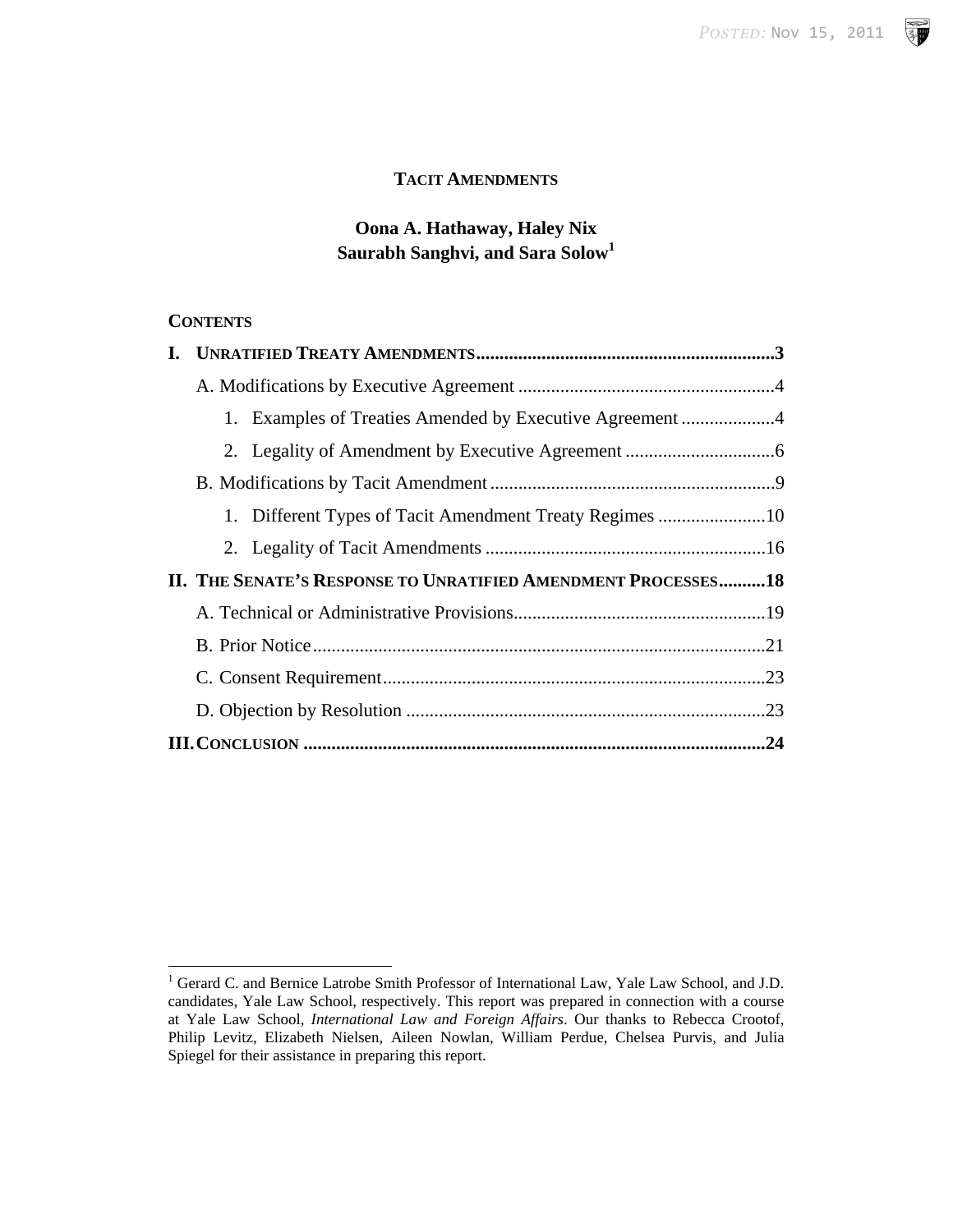**SP** 

# **TACIT AMENDMENTS**

# **Oona A. Hathaway, Haley Nix Saurabh Sanghvi, and Sara Solow<sup>1</sup>**

## **CONTENTS**

|  | 1. Examples of Treaties Amended by Executive Agreement 4      |  |
|--|---------------------------------------------------------------|--|
|  |                                                               |  |
|  |                                                               |  |
|  | 1. Different Types of Tacit Amendment Treaty Regimes 10       |  |
|  |                                                               |  |
|  | II. THE SENATE'S RESPONSE TO UNRATIFIED AMENDMENT PROCESSES18 |  |
|  |                                                               |  |
|  |                                                               |  |
|  |                                                               |  |
|  |                                                               |  |
|  |                                                               |  |

<sup>&</sup>lt;sup>1</sup> Gerard C. and Bernice Latrobe Smith Professor of International Law, Yale Law School, and J.D. candidates, Yale Law School, respectively. This report was prepared in connection with a course at Yale Law School, *International Law and Foreign Affairs*. Our thanks to Rebecca Crootof, Philip Levitz, Elizabeth Nielsen, Aileen Nowlan, William Perdue, Chelsea Purvis, and Julia Spiegel for their assistance in preparing this report.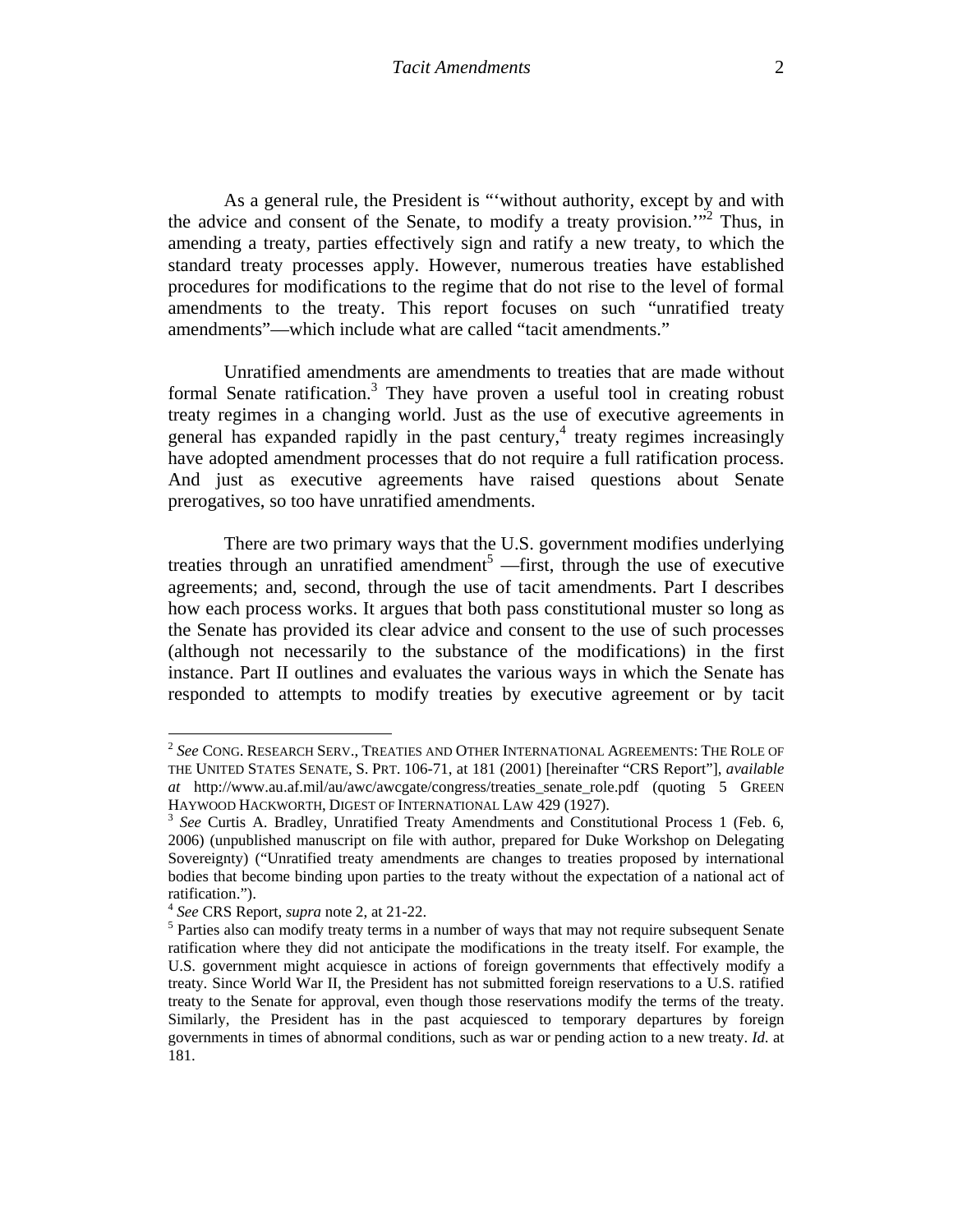As a general rule, the President is "'without authority, except by and with the advice and consent of the Senate, to modify a treaty provision."<sup>2</sup> Thus, in amending a treaty, parties effectively sign and ratify a new treaty, to which the standard treaty processes apply. However, numerous treaties have established procedures for modifications to the regime that do not rise to the level of formal amendments to the treaty. This report focuses on such "unratified treaty amendments"—which include what are called "tacit amendments."

Unratified amendments are amendments to treaties that are made without formal Senate ratification.<sup>3</sup> They have proven a useful tool in creating robust treaty regimes in a changing world. Just as the use of executive agreements in general has expanded rapidly in the past century, $4$  treaty regimes increasingly have adopted amendment processes that do not require a full ratification process. And just as executive agreements have raised questions about Senate prerogatives, so too have unratified amendments.

There are two primary ways that the U.S. government modifies underlying treaties through an unratified amendment<sup>5</sup> —first, through the use of executive agreements; and, second, through the use of tacit amendments. Part I describes how each process works. It argues that both pass constitutional muster so long as the Senate has provided its clear advice and consent to the use of such processes (although not necessarily to the substance of the modifications) in the first instance. Part II outlines and evaluates the various ways in which the Senate has responded to attempts to modify treaties by executive agreement or by tacit

<sup>2</sup> *See* CONG. RESEARCH SERV., TREATIES AND OTHER INTERNATIONAL AGREEMENTS: THE ROLE OF THE UNITED STATES SENATE, S. PRT. 106-71, at 181 (2001) [hereinafter "CRS Report"], *available at* http://www.au.af.mil/au/awc/awcgate/congress/treaties\_senate\_role.pdf (quoting 5 GREEN HAYWOOD HACKWORTH, DIGEST OF INTERNATIONAL LAW 429 (1927).<br><sup>3</sup> *See* Curtis A. Bradley, Unratified Treaty Amendments and Constitutional Process 1 (Feb. 6,

<sup>2006) (</sup>unpublished manuscript on file with author, prepared for Duke Workshop on Delegating Sovereignty) ("Unratified treaty amendments are changes to treaties proposed by international bodies that become binding upon parties to the treaty without the expectation of a national act of ratification.").

<sup>4</sup> *See* CRS Report, *supra* note 2, at 21-22. 5

<sup>&</sup>lt;sup>5</sup> Parties also can modify treaty terms in a number of ways that may not require subsequent Senate ratification where they did not anticipate the modifications in the treaty itself. For example, the U.S. government might acquiesce in actions of foreign governments that effectively modify a treaty. Since World War II, the President has not submitted foreign reservations to a U.S. ratified treaty to the Senate for approval, even though those reservations modify the terms of the treaty. Similarly, the President has in the past acquiesced to temporary departures by foreign governments in times of abnormal conditions, such as war or pending action to a new treaty. *Id.* at 181.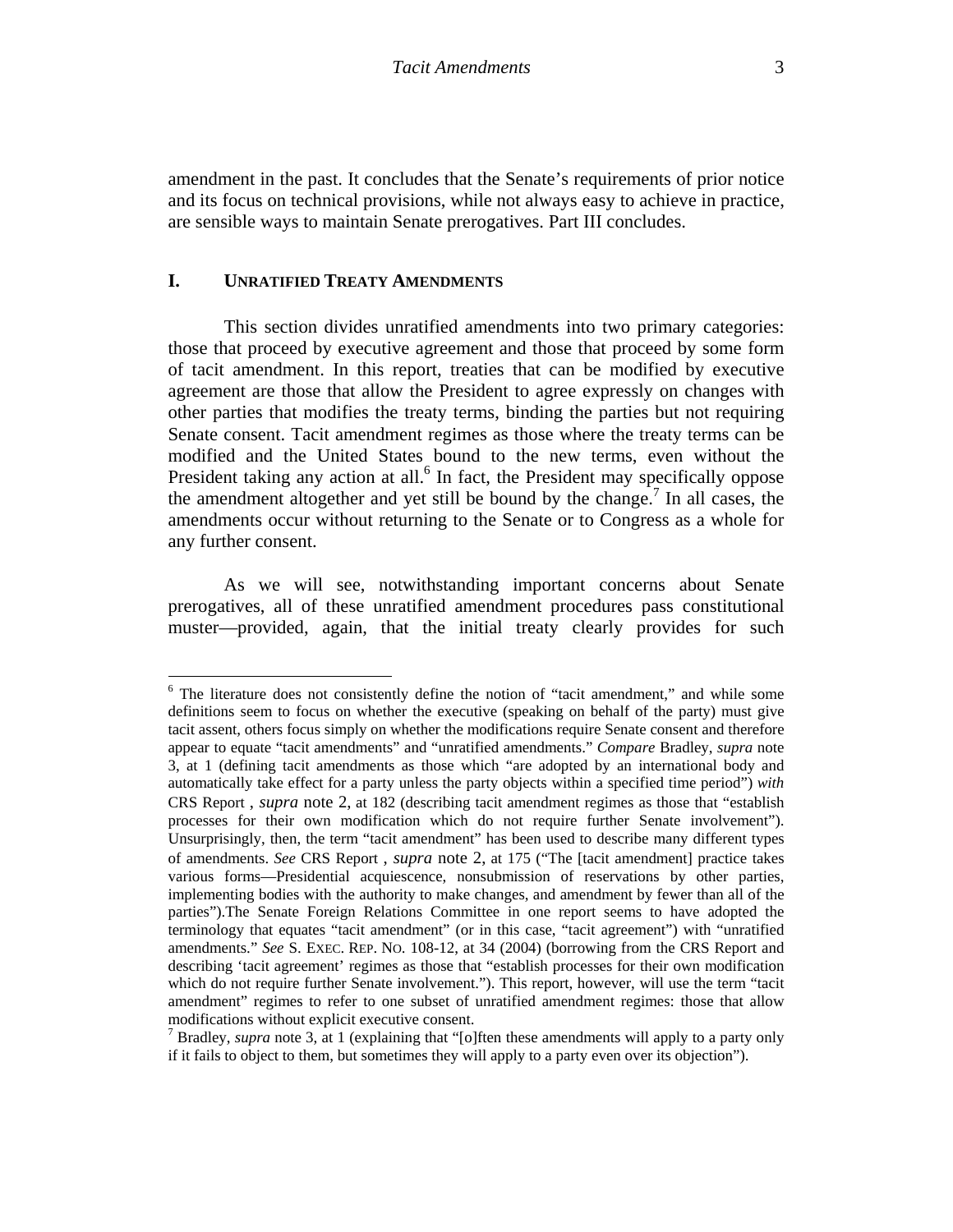amendment in the past. It concludes that the Senate's requirements of prior notice and its focus on technical provisions, while not always easy to achieve in practice, are sensible ways to maintain Senate prerogatives. Part III concludes.

### **I. UNRATIFIED TREATY AMENDMENTS**

This section divides unratified amendments into two primary categories: those that proceed by executive agreement and those that proceed by some form of tacit amendment. In this report, treaties that can be modified by executive agreement are those that allow the President to agree expressly on changes with other parties that modifies the treaty terms, binding the parties but not requiring Senate consent. Tacit amendment regimes as those where the treaty terms can be modified and the United States bound to the new terms, even without the President taking any action at all.<sup>6</sup> In fact, the President may specifically oppose the amendment altogether and yet still be bound by the change.<sup>7</sup> In all cases, the amendments occur without returning to the Senate or to Congress as a whole for any further consent.

 As we will see, notwithstanding important concerns about Senate prerogatives, all of these unratified amendment procedures pass constitutional muster—provided, again, that the initial treaty clearly provides for such

<sup>&</sup>lt;sup>6</sup> The literature does not consistently define the notion of "tacit amendment," and while some definitions seem to focus on whether the executive (speaking on behalf of the party) must give tacit assent, others focus simply on whether the modifications require Senate consent and therefore appear to equate "tacit amendments" and "unratified amendments." *Compare* Bradley, *supra* note 3, at 1 (defining tacit amendments as those which "are adopted by an international body and automatically take effect for a party unless the party objects within a specified time period") *with*  CRS Report , *supra* note 2, at 182 (describing tacit amendment regimes as those that "establish processes for their own modification which do not require further Senate involvement"). Unsurprisingly, then, the term "tacit amendment" has been used to describe many different types of amendments. *See* CRS Report , *supra* note 2, at 175 ("The [tacit amendment] practice takes various forms—Presidential acquiescence, nonsubmission of reservations by other parties, implementing bodies with the authority to make changes, and amendment by fewer than all of the parties").The Senate Foreign Relations Committee in one report seems to have adopted the terminology that equates "tacit amendment" (or in this case, "tacit agreement") with "unratified amendments." *See* S. EXEC. REP. NO. 108-12, at 34 (2004) (borrowing from the CRS Report and describing 'tacit agreement' regimes as those that "establish processes for their own modification which do not require further Senate involvement."). This report, however, will use the term "tacit amendment" regimes to refer to one subset of unratified amendment regimes: those that allow modifications without explicit executive consent.

<sup>&</sup>lt;sup>7</sup> Bradley, *supra* note 3, at 1 (explaining that "[o]ften these amendments will apply to a party only if it fails to object to them, but sometimes they will apply to a party even over its objection").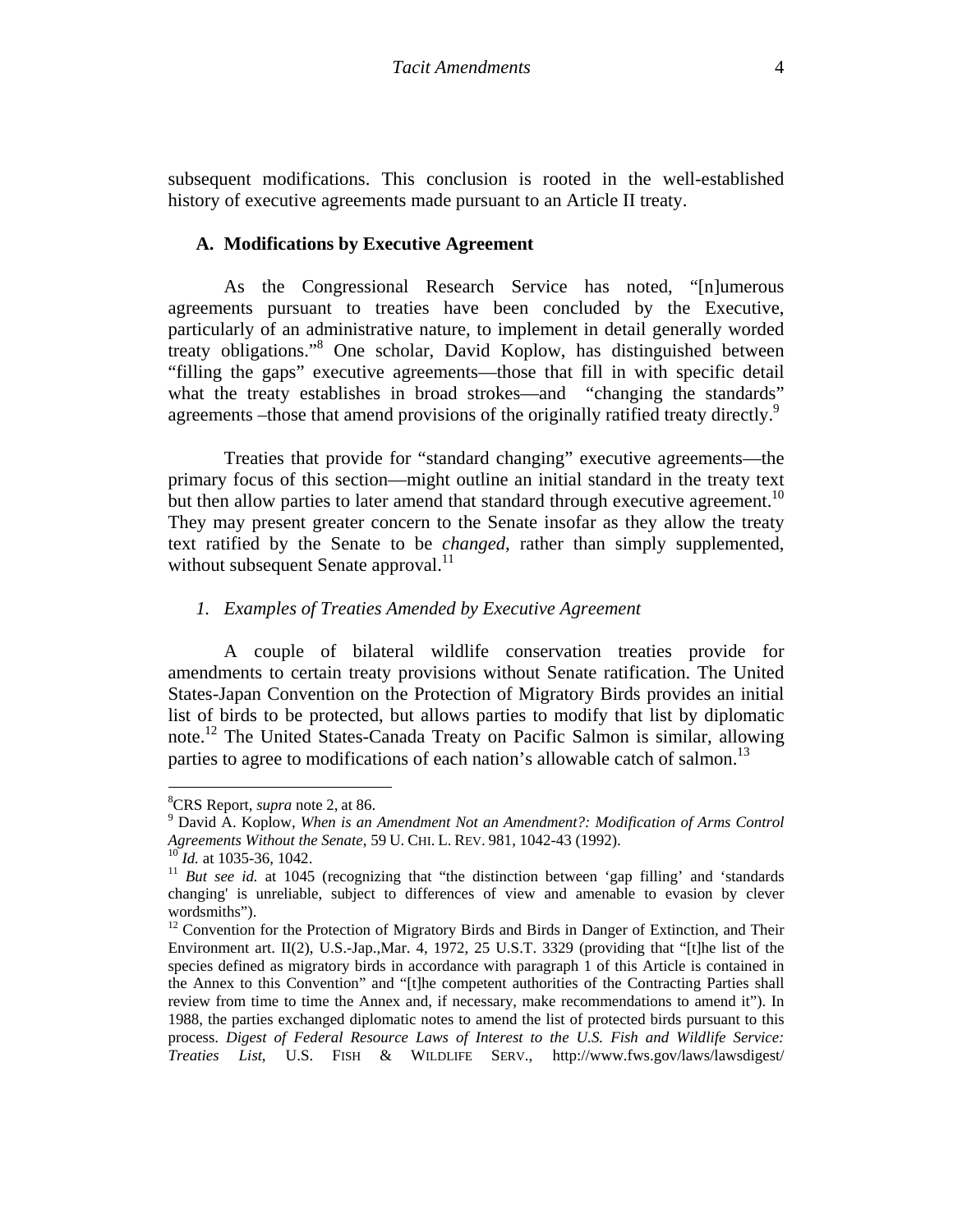subsequent modifications. This conclusion is rooted in the well-established history of executive agreements made pursuant to an Article II treaty.

#### **A. Modifications by Executive Agreement**

As the Congressional Research Service has noted, "[n]umerous agreements pursuant to treaties have been concluded by the Executive, particularly of an administrative nature, to implement in detail generally worded treaty obligations."8 One scholar, David Koplow, has distinguished between "filling the gaps" executive agreements—those that fill in with specific detail what the treaty establishes in broad strokes—and "changing the standards" agreements –those that amend provisions of the originally ratified treaty directly.<sup>9</sup>

Treaties that provide for "standard changing" executive agreements—the primary focus of this section—might outline an initial standard in the treaty text but then allow parties to later amend that standard through executive agreement.<sup>10</sup> They may present greater concern to the Senate insofar as they allow the treaty text ratified by the Senate to be *changed*, rather than simply supplemented, without subsequent Senate approval. $^{11}$ 

### *1. Examples of Treaties Amended by Executive Agreement*

A couple of bilateral wildlife conservation treaties provide for amendments to certain treaty provisions without Senate ratification. The United States-Japan Convention on the Protection of Migratory Birds provides an initial list of birds to be protected, but allows parties to modify that list by diplomatic note.<sup>12</sup> The United States-Canada Treaty on Pacific Salmon is similar, allowing parties to agree to modifications of each nation's allowable catch of salmon.<sup>13</sup>

 <sup>8</sup>CRS Report, *supra* note 2, at 86.

David A. Koplow, *When is an Amendment Not an Amendment?: Modification of Arms Control* 

<sup>&</sup>lt;sup>10</sup>*Id.* at 1035-36, 1042.<br><sup>11</sup> *But see id.* at 1045 (recognizing that "the distinction between 'gap filling' and 'standards changing' is unreliable, subject to differences of view and amenable to evasion by clever wordsmiths").

 $12$  Convention for the Protection of Migratory Birds and Birds in Danger of Extinction, and Their Environment art. II(2), U.S.-Jap.,Mar. 4, 1972, 25 U.S.T. 3329 (providing that "[t]he list of the species defined as migratory birds in accordance with paragraph 1 of this Article is contained in the Annex to this Convention" and "[t]he competent authorities of the Contracting Parties shall review from time to time the Annex and, if necessary, make recommendations to amend it"). In 1988, the parties exchanged diplomatic notes to amend the list of protected birds pursuant to this process. *Digest of Federal Resource Laws of Interest to the U.S. Fish and Wildlife Service: Treaties List*, U.S. FISH & WILDLIFE SERV., http://www.fws.gov/laws/lawsdigest/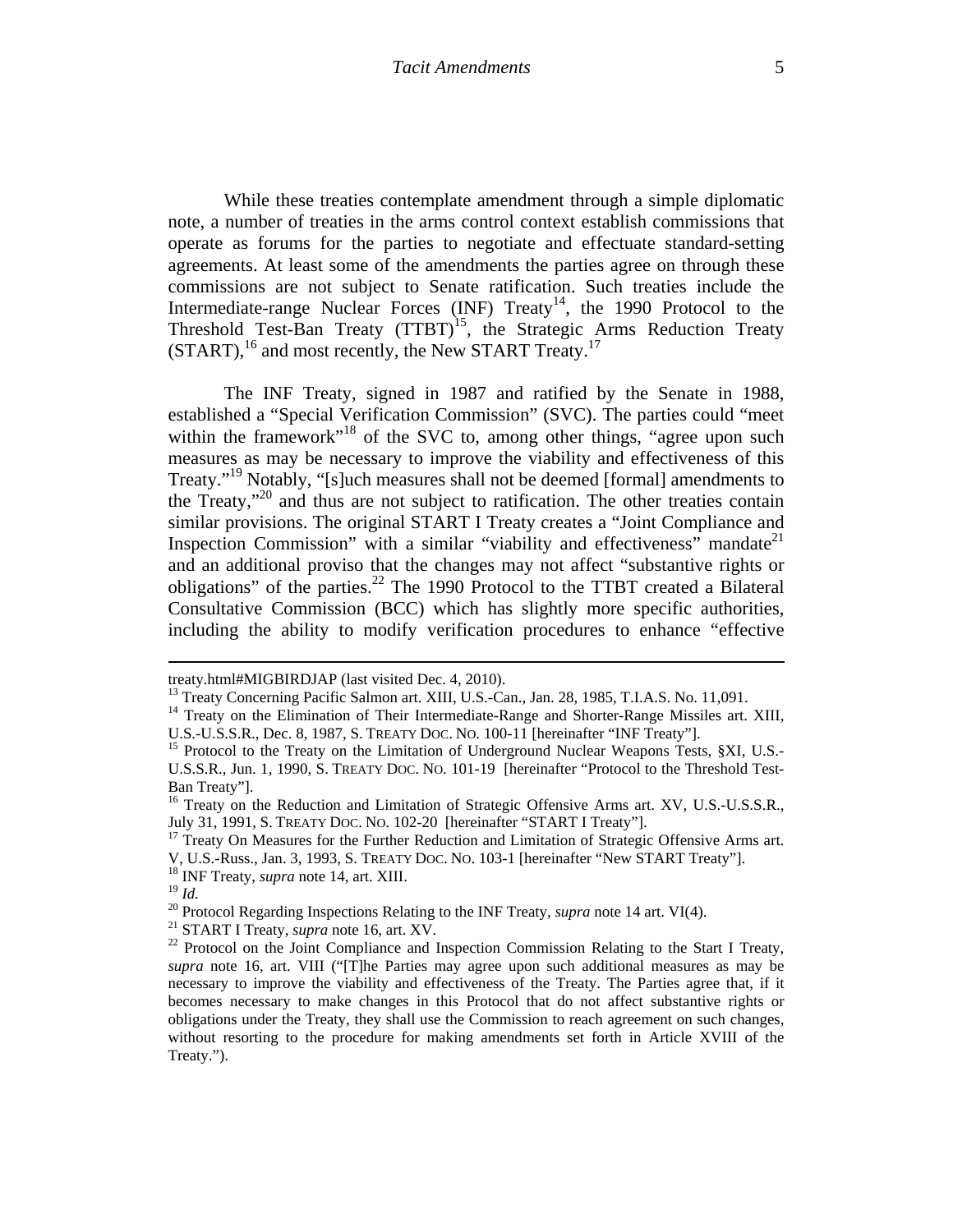While these treaties contemplate amendment through a simple diplomatic note, a number of treaties in the arms control context establish commissions that operate as forums for the parties to negotiate and effectuate standard-setting agreements. At least some of the amendments the parties agree on through these commissions are not subject to Senate ratification. Such treaties include the Intermediate-range Nuclear Forces  $(INF)$  Treaty<sup>14</sup>, the 1990 Protocol to the Threshold Test-Ban Treaty  $(TTBT)^{15}$ , the Strategic Arms Reduction Treaty (START),<sup>16</sup> and most recently, the New START Treaty.<sup>17</sup>

The INF Treaty, signed in 1987 and ratified by the Senate in 1988, established a "Special Verification Commission" (SVC). The parties could "meet within the framework"<sup>18</sup> of the SVC to, among other things, "agree upon such measures as may be necessary to improve the viability and effectiveness of this Treaty."<sup>19</sup> Notably, "[s]uch measures shall not be deemed [formal] amendments to the Treaty,"20 and thus are not subject to ratification. The other treaties contain similar provisions. The original START I Treaty creates a "Joint Compliance and Inspection Commission" with a similar "viability and effectiveness" mandate $2<sup>1</sup>$ and an additional proviso that the changes may not affect "substantive rights or obligations" of the parties.<sup>22</sup> The 1990 Protocol to the TTBT created a Bilateral Consultative Commission (BCC) which has slightly more specific authorities, including the ability to modify verification procedures to enhance "effective

<u> 1989 - Johann Stoff, amerikansk politiker (d. 1989)</u>

treaty.html#MIGBIRDJAP (last visited Dec. 4, 2010).<br><sup>13</sup> Treaty Concerning Pacific Salmon art. XIII, U.S.-Can., Jan. 28, 1985, T.I.A.S. No. 11,091.

<sup>&</sup>lt;sup>14</sup> Treaty on the Elimination of Their Intermediate-Range and Shorter-Range Missiles art. XIII, U.S.-U.S.S.R., Dec. 8, 1987, S. TREATY DOC. No. 100-11 [hereinafter "INF Treaty"].

<sup>&</sup>lt;sup>15</sup> Protocol to the Treaty on the Limitation of Underground Nuclear Weapons Tests, §XI, U.S.-U.S.S.R., Jun. 1, 1990, S. TREATY DOC. NO. 101-19 [hereinafter "Protocol to the Threshold Test-Ban Treaty"].

<sup>&</sup>lt;sup>16</sup> Treaty on the Reduction and Limitation of Strategic Offensive Arms art. XV, U.S.-U.S.S.R., July 31, 1991, S. TREATY DOC. NO. 102-20 [hereinafter "START I Treaty"].<br><sup>17</sup> Treaty On Measures for the Further Reduction and Limitation of Strategic Offensive Arms art.

V, U.S.-Russ., Jan. 3, 1993, S. TREATY DOC. NO. 103-1 [hereinafter "New START Treaty"]. 18 INF Treaty, *supra* note 14, art. XIII.

<sup>&</sup>lt;sup>20</sup> Protocol Regarding Inspections Relating to the INF Treaty, *supra* note 14 art. VI(4).<br><sup>21</sup> START I Treaty, *supra* note 16, art. XV.<br><sup>22</sup> Protocol on the Joint Compliance and Inspection Commission Relating to the St

*supra* note 16, art. VIII ("[T]he Parties may agree upon such additional measures as may be necessary to improve the viability and effectiveness of the Treaty. The Parties agree that, if it becomes necessary to make changes in this Protocol that do not affect substantive rights or obligations under the Treaty, they shall use the Commission to reach agreement on such changes, without resorting to the procedure for making amendments set forth in Article XVIII of the Treaty.").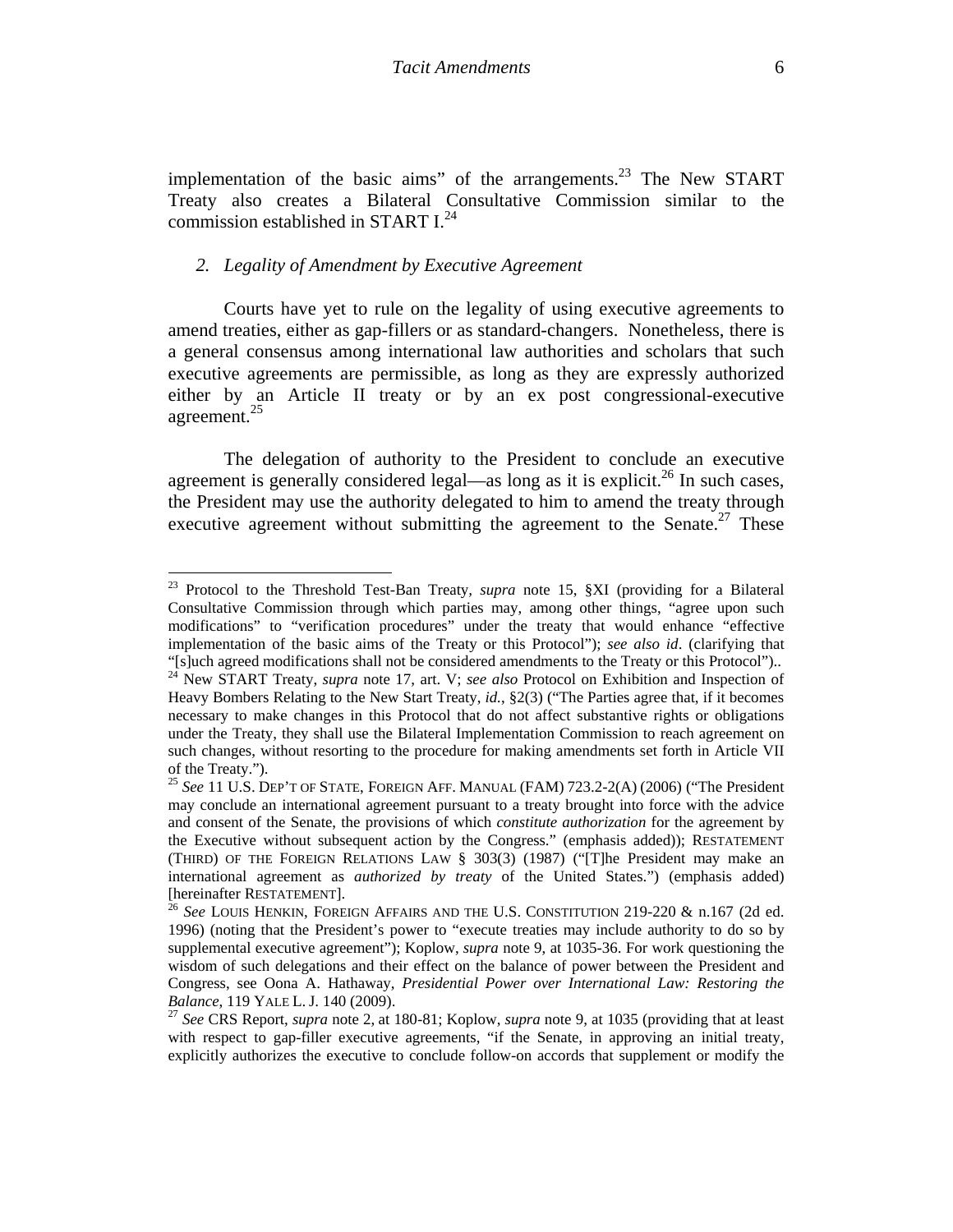implementation of the basic aims" of the arrangements.<sup>23</sup> The New START Treaty also creates a Bilateral Consultative Commission similar to the commission established in START  $I^{24}$ .

### *2. Legality of Amendment by Executive Agreement*

Courts have yet to rule on the legality of using executive agreements to amend treaties, either as gap-fillers or as standard-changers. Nonetheless, there is a general consensus among international law authorities and scholars that such executive agreements are permissible, as long as they are expressly authorized either by an Article II treaty or by an ex post congressional-executive agreement.<sup>25</sup>

The delegation of authority to the President to conclude an executive agreement is generally considered legal—as long as it is explicit.<sup>26</sup> In such cases, the President may use the authority delegated to him to amend the treaty through executive agreement without submitting the agreement to the Senate.<sup>27</sup> These

<sup>23</sup> Protocol to the Threshold Test-Ban Treaty*, supra* note 15, §XI (providing for a Bilateral Consultative Commission through which parties may, among other things, "agree upon such modifications" to "verification procedures" under the treaty that would enhance "effective implementation of the basic aims of the Treaty or this Protocol"); *see also id*. (clarifying that "[s]uch agreed modifications shall not be considered amendments to the Treaty or this Protocol").. <sup>24</sup> New START Treaty, *supra* note 17, art. V; *see also* Protocol on Exhibition and Inspection of Heavy Bombers Relating to the New Start Treaty, *id.*, §2(3) ("The Parties agree that, if it becomes necessary to make changes in this Protocol that do not affect substantive rights or obligations under the Treaty, they shall use the Bilateral Implementation Commission to reach agreement on such changes, without resorting to the procedure for making amendments set forth in Article VII of the Treaty.").

<sup>25</sup> *See* 11 U.S. DEP'T OF STATE, FOREIGN AFF. MANUAL (FAM) 723.2-2(A) (2006) ("The President may conclude an international agreement pursuant to a treaty brought into force with the advice and consent of the Senate, the provisions of which *constitute authorization* for the agreement by the Executive without subsequent action by the Congress." (emphasis added)); RESTATEMENT (THIRD) OF THE FOREIGN RELATIONS LAW § 303(3) (1987) ("[T]he President may make an international agreement as *authorized by treaty* of the United States.") (emphasis added) [hereinafter RESTATEMENT]. 26 *See* LOUIS HENKIN, FOREIGN AFFAIRS AND THE U.S. CONSTITUTION 219-220 & n.167 (2d ed.

<sup>1996) (</sup>noting that the President's power to "execute treaties may include authority to do so by supplemental executive agreement"); Koplow, *supra* note 9, at 1035-36. For work questioning the wisdom of such delegations and their effect on the balance of power between the President and Congress, see Oona A. Hathaway, *Presidential Power over International Law: Restoring the Balance*, 119 YALE L. J. 140 (2009). 27 *See* CRS Report, *supra* note 2, at 180-81; Koplow, *supra* note 9, at 1035 (providing that at least

with respect to gap-filler executive agreements, "if the Senate, in approving an initial treaty, explicitly authorizes the executive to conclude follow-on accords that supplement or modify the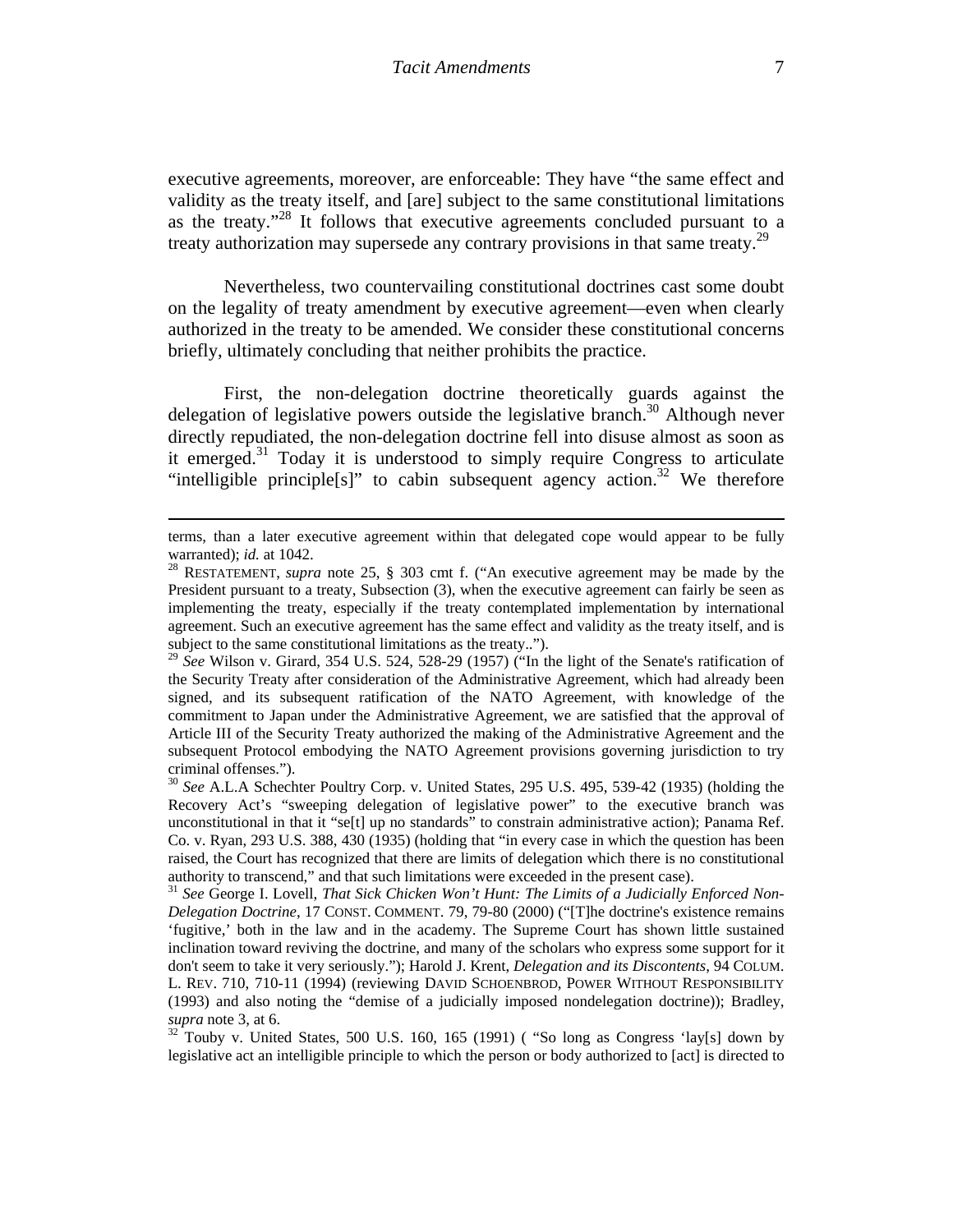executive agreements, moreover, are enforceable: They have "the same effect and validity as the treaty itself, and [are] subject to the same constitutional limitations as the treaty."28 It follows that executive agreements concluded pursuant to a treaty authorization may supersede any contrary provisions in that same treaty.<sup>29</sup>

Nevertheless, two countervailing constitutional doctrines cast some doubt on the legality of treaty amendment by executive agreement—even when clearly authorized in the treaty to be amended. We consider these constitutional concerns briefly, ultimately concluding that neither prohibits the practice.

First, the non-delegation doctrine theoretically guards against the delegation of legislative powers outside the legislative branch. $30$  Although never directly repudiated, the non-delegation doctrine fell into disuse almost as soon as it emerged.<sup>31</sup> Today it is understood to simply require Congress to articulate "intelligible principle<sup>[s]"</sup> to cabin subsequent agency action.<sup>32</sup> We therefore

<sup>&</sup>lt;u> 1989 - Johann Stoff, amerikansk politiker (d. 1989)</u> terms, than a later executive agreement within that delegated cope would appear to be fully warranted); *id.* at 1042.

<sup>&</sup>lt;sup>28</sup> RESTATEMENT, *supra* note 25, § 303 cmt f. ("An executive agreement may be made by the President pursuant to a treaty, Subsection (3), when the executive agreement can fairly be seen as implementing the treaty, especially if the treaty contemplated implementation by international agreement. Such an executive agreement has the same effect and validity as the treaty itself, and is subject to the same constitutional limitations as the treaty..").

<sup>29</sup> *See* Wilson v. Girard, 354 U.S. 524, 528-29 (1957) ("In the light of the Senate's ratification of the Security Treaty after consideration of the Administrative Agreement, which had already been signed, and its subsequent ratification of the NATO Agreement, with knowledge of the commitment to Japan under the Administrative Agreement, we are satisfied that the approval of Article III of the Security Treaty authorized the making of the Administrative Agreement and the subsequent Protocol embodying the NATO Agreement provisions governing jurisdiction to try criminal offenses.").

<sup>30</sup> *See* A.L.A Schechter Poultry Corp. v. United States, 295 U.S. 495, 539-42 (1935) (holding the Recovery Act's "sweeping delegation of legislative power" to the executive branch was unconstitutional in that it "se[t] up no standards" to constrain administrative action); Panama Ref. Co. v. Ryan, 293 U.S. 388, 430 (1935) (holding that "in every case in which the question has been raised, the Court has recognized that there are limits of delegation which there is no constitutional authority to transcend," and that such limitations were exceeded in the present case).<br><sup>31</sup> *See* George I. Lovell, *That Sick Chicken Won't Hunt: The Limits of a Judicially Enforced Non-*

*Delegation Doctrine*, 17 CONST. COMMENT. 79, 79-80 (2000) ("[T]he doctrine's existence remains 'fugitive,' both in the law and in the academy. The Supreme Court has shown little sustained inclination toward reviving the doctrine, and many of the scholars who express some support for it don't seem to take it very seriously."); Harold J. Krent, *Delegation and its Discontents*, 94 COLUM. L. REV. 710, 710-11 (1994) (reviewing DAVID SCHOENBROD, POWER WITHOUT RESPONSIBILITY (1993) and also noting the "demise of a judicially imposed nondelegation doctrine)); Bradley, *supra* note 3, at 6.<br><sup>32</sup> Touby v. United States, 500 U.S. 160, 165 (1991) ( "So long as Congress 'lay[s] down by

legislative act an intelligible principle to which the person or body authorized to [act] is directed to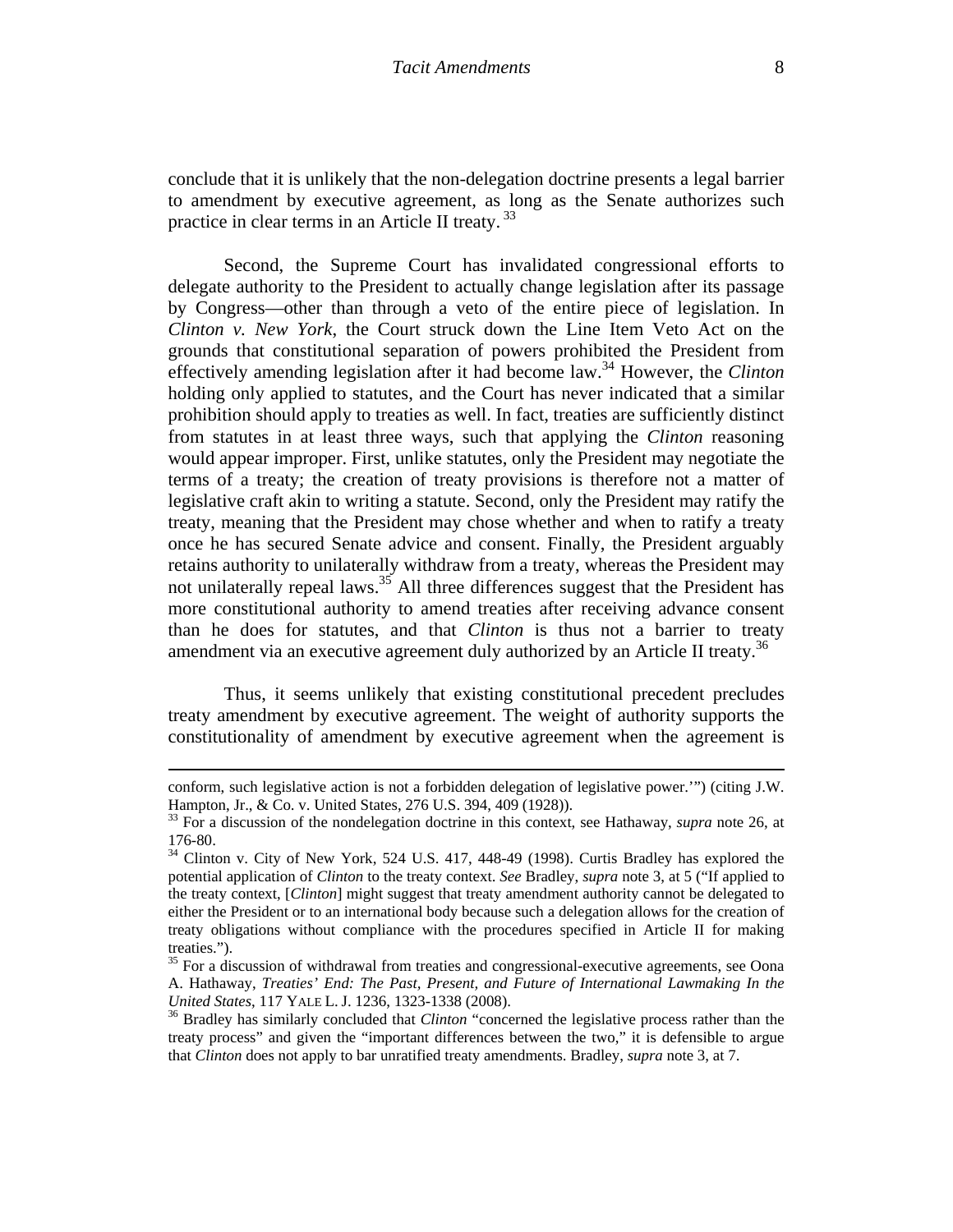conclude that it is unlikely that the non-delegation doctrine presents a legal barrier to amendment by executive agreement, as long as the Senate authorizes such practice in clear terms in an Article II treaty.<sup>33</sup>

Second, the Supreme Court has invalidated congressional efforts to delegate authority to the President to actually change legislation after its passage by Congress—other than through a veto of the entire piece of legislation. In *Clinton v. New York*, the Court struck down the Line Item Veto Act on the grounds that constitutional separation of powers prohibited the President from effectively amending legislation after it had become law.34 However, the *Clinton*  holding only applied to statutes, and the Court has never indicated that a similar prohibition should apply to treaties as well. In fact, treaties are sufficiently distinct from statutes in at least three ways, such that applying the *Clinton* reasoning would appear improper. First, unlike statutes, only the President may negotiate the terms of a treaty; the creation of treaty provisions is therefore not a matter of legislative craft akin to writing a statute. Second, only the President may ratify the treaty, meaning that the President may chose whether and when to ratify a treaty once he has secured Senate advice and consent. Finally, the President arguably retains authority to unilaterally withdraw from a treaty, whereas the President may not unilaterally repeal laws.<sup>35</sup> All three differences suggest that the President has more constitutional authority to amend treaties after receiving advance consent than he does for statutes, and that *Clinton* is thus not a barrier to treaty amendment via an executive agreement duly authorized by an Article II treaty.<sup>36</sup>

Thus, it seems unlikely that existing constitutional precedent precludes treaty amendment by executive agreement. The weight of authority supports the constitutionality of amendment by executive agreement when the agreement is

<sup>&</sup>lt;u> 1989 - Johann Stoff, amerikansk politiker (d. 1989)</u> conform, such legislative action is not a forbidden delegation of legislative power.'") (citing J.W. Hampton, Jr., & Co. v. United States, 276 U.S. 394, 409 (1928)).

<sup>33</sup> For a discussion of the nondelegation doctrine in this context, see Hathaway, *supra* note 26, at 176-80.

<sup>&</sup>lt;sup>34</sup> Clinton v. City of New York, 524 U.S. 417, 448-49 (1998). Curtis Bradley has explored the potential application of *Clinton* to the treaty context. *See* Bradley, *supra* note 3, at 5 ("If applied to the treaty context, [*Clinton*] might suggest that treaty amendment authority cannot be delegated to either the President or to an international body because such a delegation allows for the creation of treaty obligations without compliance with the procedures specified in Article II for making treaties.").

<sup>&</sup>lt;sup>35</sup> For a discussion of withdrawal from treaties and congressional-executive agreements, see Oona A. Hathaway, *Treaties' End: The Past, Present, and Future of International Lawmaking In the United States*, 117 YALE L. J. 1236, 1323-1338 (2008).<br><sup>36</sup> Bradley has similarly concluded that *Clinton* "concerned the legislative process rather than the

treaty process" and given the "important differences between the two," it is defensible to argue that *Clinton* does not apply to bar unratified treaty amendments. Bradley, *supra* note 3, at 7.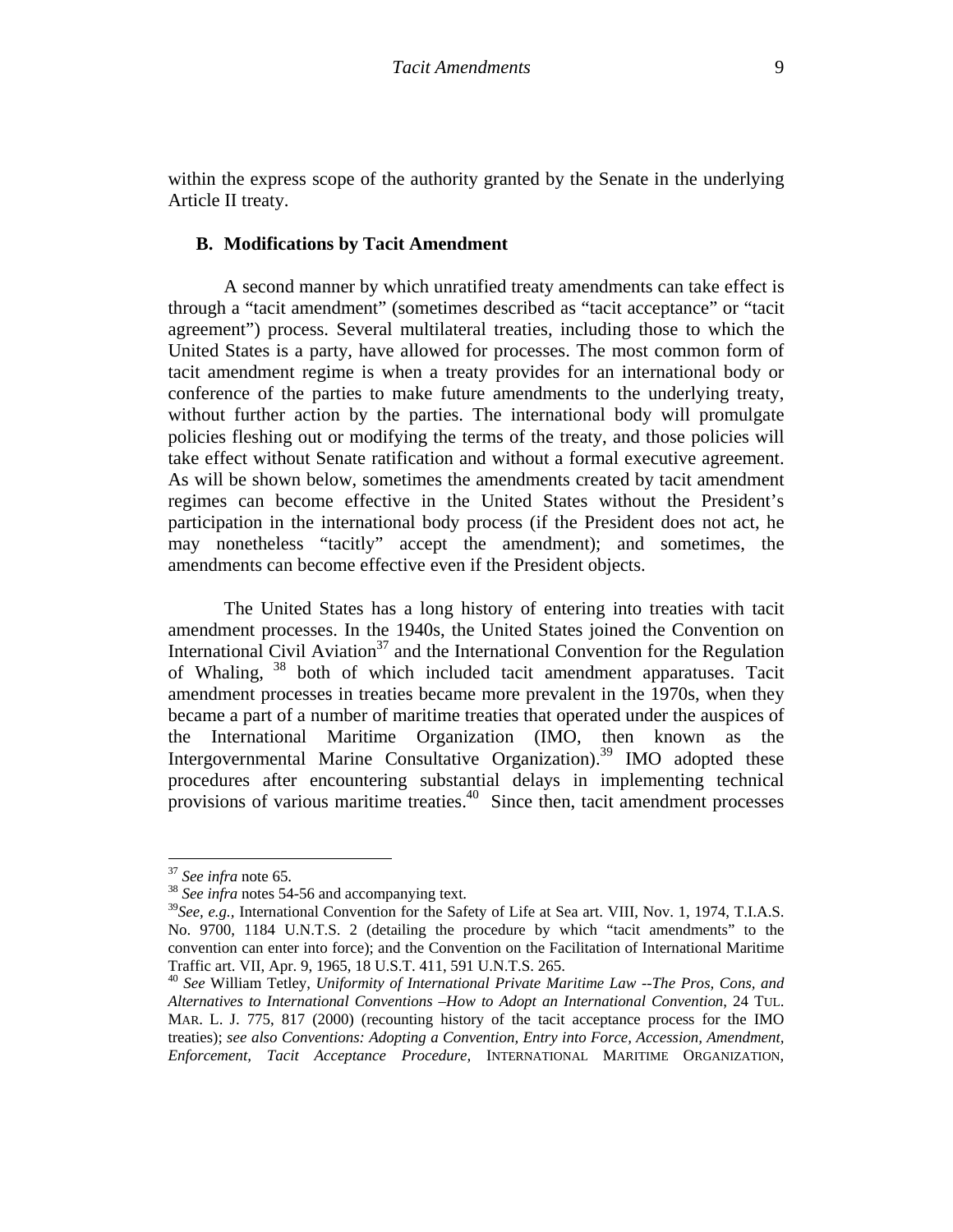within the express scope of the authority granted by the Senate in the underlying Article II treaty.

### **B. Modifications by Tacit Amendment**

A second manner by which unratified treaty amendments can take effect is through a "tacit amendment" (sometimes described as "tacit acceptance" or "tacit agreement") process. Several multilateral treaties, including those to which the United States is a party, have allowed for processes. The most common form of tacit amendment regime is when a treaty provides for an international body or conference of the parties to make future amendments to the underlying treaty, without further action by the parties. The international body will promulgate policies fleshing out or modifying the terms of the treaty, and those policies will take effect without Senate ratification and without a formal executive agreement. As will be shown below, sometimes the amendments created by tacit amendment regimes can become effective in the United States without the President's participation in the international body process (if the President does not act, he may nonetheless "tacitly" accept the amendment); and sometimes, the amendments can become effective even if the President objects.

The United States has a long history of entering into treaties with tacit amendment processes. In the 1940s, the United States joined the Convention on International Civil Aviation<sup>37</sup> and the International Convention for the Regulation of Whaling, <sup>38</sup> both of which included tacit amendment apparatuses. Tacit amendment processes in treaties became more prevalent in the 1970s, when they became a part of a number of maritime treaties that operated under the auspices of the International Maritime Organization (IMO, then known as the Intergovernmental Marine Consultative Organization).<sup>39</sup> IMO adopted these procedures after encountering substantial delays in implementing technical provisions of various maritime treaties.<sup>40</sup> Since then, tacit amendment processes

<sup>&</sup>lt;sup>37</sup> *See infra* note 65.<br><sup>38</sup> *See infra* notes 54-56 and accompanying text.

<sup>39</sup>*See, e.g.,* International Convention for the Safety of Life at Sea art. VIII, Nov. 1, 1974, T.I.A.S. No. 9700, 1184 U.N.T.S. 2 (detailing the procedure by which "tacit amendments" to the convention can enter into force); and the Convention on the Facilitation of International Maritime Traffic art. VII, Apr. 9, 1965, 18 U.S.T. 411, 591 U.N.T.S. 265. 40 *See* William Tetley, *Uniformity of International Private Maritime Law --The Pros, Cons, and* 

*Alternatives to International Conventions –How to Adopt an International Convention*, 24 TUL. MAR. L. J. 775, 817 (2000) (recounting history of the tacit acceptance process for the IMO treaties); *see also Conventions: Adopting a Convention, Entry into Force, Accession, Amendment, Enforcement, Tacit Acceptance Procedure,* INTERNATIONAL MARITIME ORGANIZATION,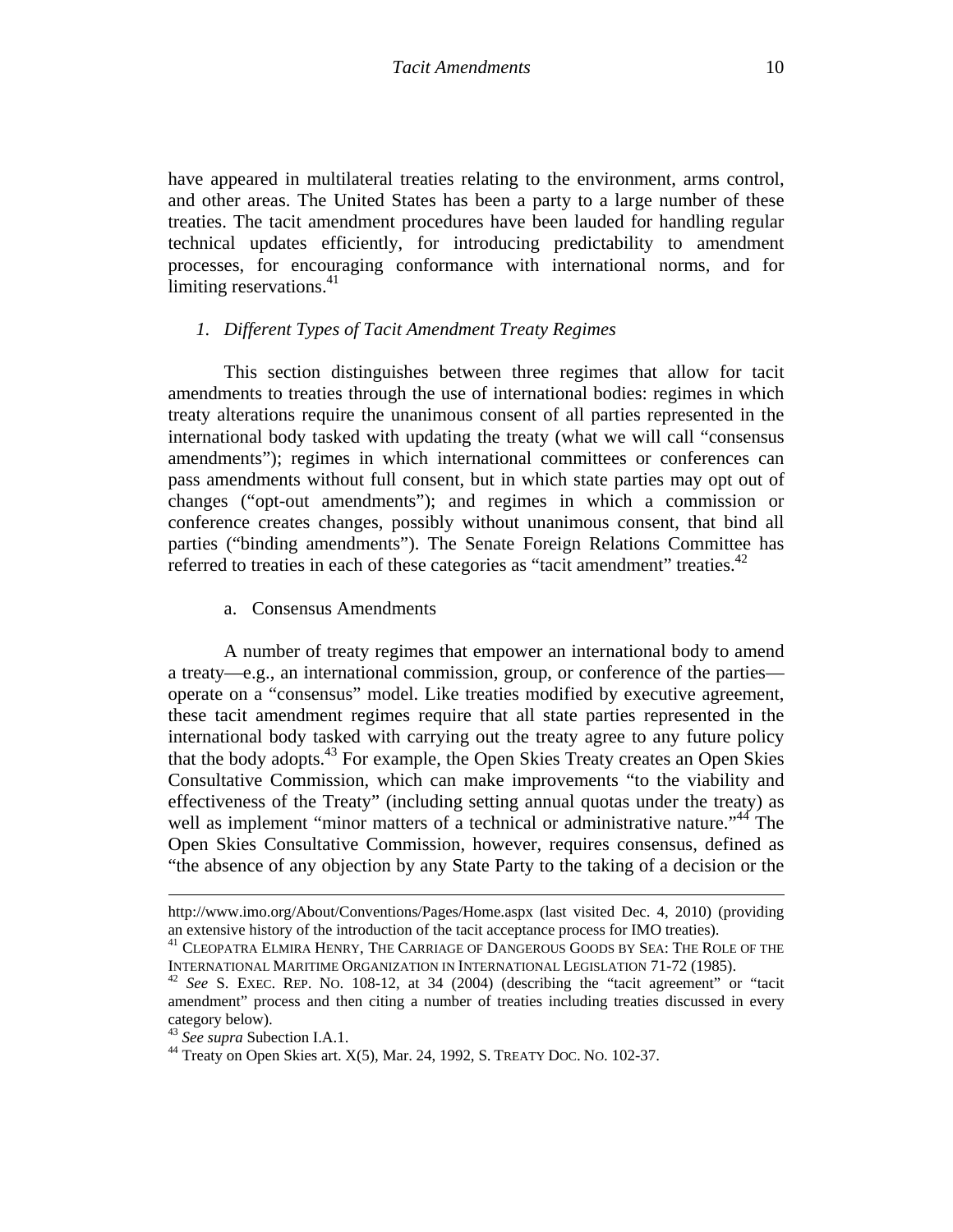have appeared in multilateral treaties relating to the environment, arms control, and other areas. The United States has been a party to a large number of these treaties. The tacit amendment procedures have been lauded for handling regular technical updates efficiently, for introducing predictability to amendment processes, for encouraging conformance with international norms, and for limiting reservations. $41$ 

### *1. Different Types of Tacit Amendment Treaty Regimes*

This section distinguishes between three regimes that allow for tacit amendments to treaties through the use of international bodies: regimes in which treaty alterations require the unanimous consent of all parties represented in the international body tasked with updating the treaty (what we will call "consensus amendments"); regimes in which international committees or conferences can pass amendments without full consent, but in which state parties may opt out of changes ("opt-out amendments"); and regimes in which a commission or conference creates changes, possibly without unanimous consent, that bind all parties ("binding amendments"). The Senate Foreign Relations Committee has referred to treaties in each of these categories as "tacit amendment" treaties. $42$ 

a. Consensus Amendments

A number of treaty regimes that empower an international body to amend a treaty—e.g., an international commission, group, or conference of the parties operate on a "consensus" model. Like treaties modified by executive agreement, these tacit amendment regimes require that all state parties represented in the international body tasked with carrying out the treaty agree to any future policy that the body adopts.<sup>43</sup> For example, the Open Skies Treaty creates an Open Skies Consultative Commission, which can make improvements "to the viability and effectiveness of the Treaty" (including setting annual quotas under the treaty) as well as implement "minor matters of a technical or administrative nature."<sup>44</sup> The Open Skies Consultative Commission, however, requires consensus, defined as "the absence of any objection by any State Party to the taking of a decision or the

<sup>&</sup>lt;u> 1989 - Johann Stoff, amerikansk politiker (d. 1989)</u> http://www.imo.org/About/Conventions/Pages/Home.aspx (last visited Dec. 4, 2010) (providing an extensive history of the introduction of the tacit acceptance process for IMO treaties).<br><sup>41</sup> CLEOPATRA ELMIRA HENRY, THE CARRIAGE OF DANGEROUS GOODS BY SEA: THE ROLE OF THE

INTERNATIONAL MARITIME ORGANIZATION IN INTERNATIONAL LEGISLATION 71-72 (1985). 42 *See* S. EXEC. REP. NO. 108-12, at 34 (2004) (describing the "tacit agreement" or "tacit

amendment" process and then citing a number of treaties including treaties discussed in every category below).<br><sup>43</sup> See supra Subection I.A.1.

<sup>&</sup>lt;sup>44</sup> Treaty on Open Skies art. X(5), Mar. 24, 1992, S. TREATY DOC. NO. 102-37.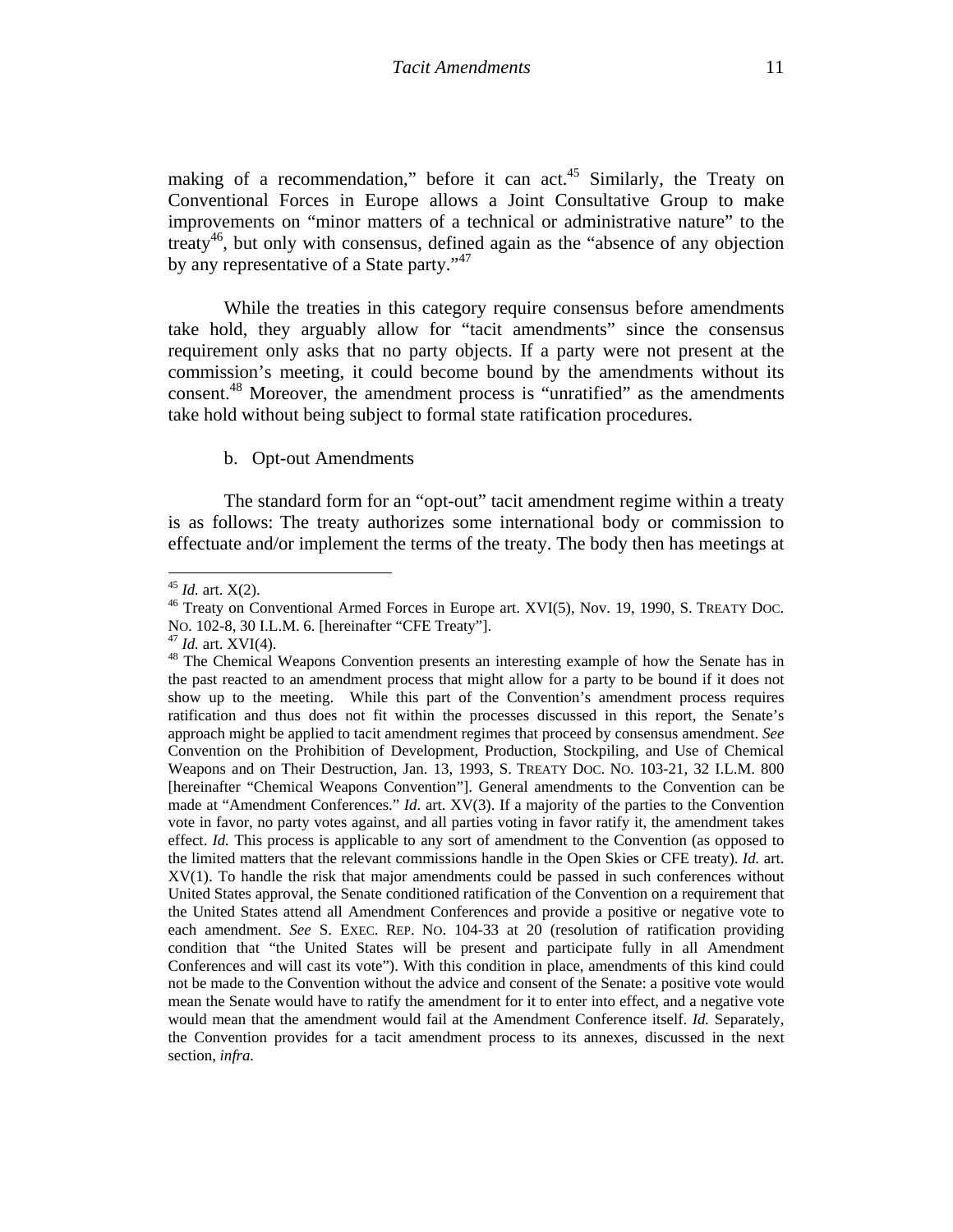making of a recommendation," before it can act.<sup>45</sup> Similarly, the Treaty on Conventional Forces in Europe allows a Joint Consultative Group to make improvements on "minor matters of a technical or administrative nature" to the treaty<sup>46</sup>, but only with consensus, defined again as the "absence of any objection" by any representative of a State party."<sup>47</sup>

While the treaties in this category require consensus before amendments take hold, they arguably allow for "tacit amendments" since the consensus requirement only asks that no party objects. If a party were not present at the commission's meeting, it could become bound by the amendments without its consent.48 Moreover, the amendment process is "unratified" as the amendments take hold without being subject to formal state ratification procedures.

#### b. Opt-out Amendments

The standard form for an "opt-out" tacit amendment regime within a treaty is as follows: The treaty authorizes some international body or commission to effectuate and/or implement the terms of the treaty. The body then has meetings at

<sup>&</sup>lt;sup>45</sup> *Id.* art. X(2).<br><sup>46</sup> Treaty on Conventional Armed Forces in Europe art. XVI(5), Nov. 19, 1990, S. TREATY DOC. No. 102-8, 30 I.L.M. 6. [hereinafter "CFE Treaty"].<br><sup>47</sup> *Id.* art. XVI(4).<br><sup>48</sup> The Chemical Weapons Convention presents an interesting example of how the Senate has in

the past reacted to an amendment process that might allow for a party to be bound if it does not show up to the meeting. While this part of the Convention's amendment process requires ratification and thus does not fit within the processes discussed in this report, the Senate's approach might be applied to tacit amendment regimes that proceed by consensus amendment. *See*  Convention on the Prohibition of Development, Production, Stockpiling, and Use of Chemical Weapons and on Their Destruction, Jan. 13, 1993, S. TREATY DOC. NO. 103-21, 32 I.L.M. 800 [hereinafter "Chemical Weapons Convention"]. General amendments to the Convention can be made at "Amendment Conferences." *Id*. art. XV(3). If a majority of the parties to the Convention vote in favor, no party votes against, and all parties voting in favor ratify it, the amendment takes effect. *Id.* This process is applicable to any sort of amendment to the Convention (as opposed to the limited matters that the relevant commissions handle in the Open Skies or CFE treaty). *Id.* art. XV(1). To handle the risk that major amendments could be passed in such conferences without United States approval, the Senate conditioned ratification of the Convention on a requirement that the United States attend all Amendment Conferences and provide a positive or negative vote to each amendment. *See* S. EXEC. REP. NO. 104-33 at 20 (resolution of ratification providing condition that "the United States will be present and participate fully in all Amendment Conferences and will cast its vote"). With this condition in place, amendments of this kind could not be made to the Convention without the advice and consent of the Senate: a positive vote would mean the Senate would have to ratify the amendment for it to enter into effect, and a negative vote would mean that the amendment would fail at the Amendment Conference itself. *Id.* Separately, the Convention provides for a tacit amendment process to its annexes, discussed in the next section, *infra.*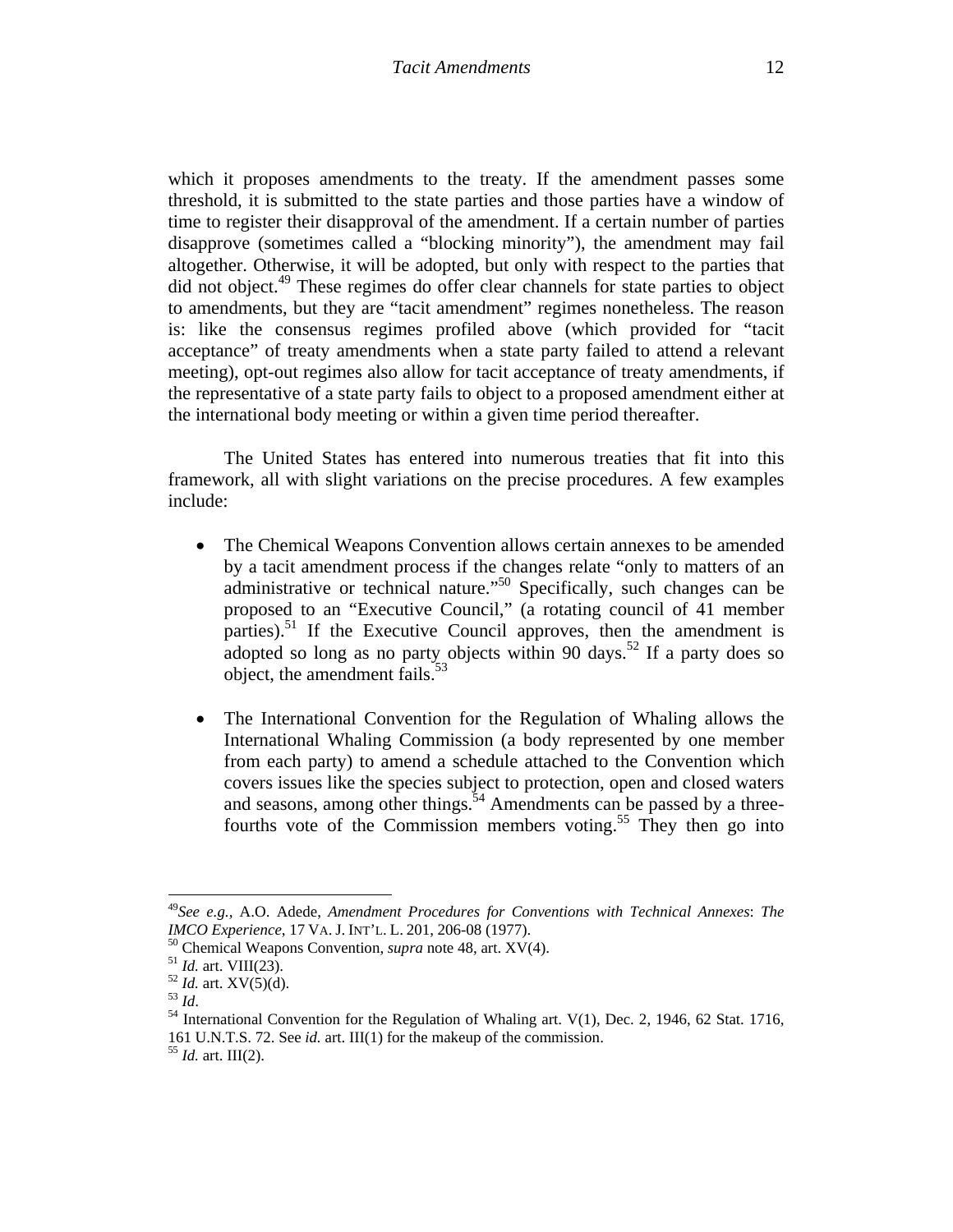which it proposes amendments to the treaty. If the amendment passes some threshold, it is submitted to the state parties and those parties have a window of time to register their disapproval of the amendment. If a certain number of parties disapprove (sometimes called a "blocking minority"), the amendment may fail altogether. Otherwise, it will be adopted, but only with respect to the parties that did not object.<sup>49</sup> These regimes do offer clear channels for state parties to object to amendments, but they are "tacit amendment" regimes nonetheless. The reason is: like the consensus regimes profiled above (which provided for "tacit acceptance" of treaty amendments when a state party failed to attend a relevant meeting), opt-out regimes also allow for tacit acceptance of treaty amendments, if the representative of a state party fails to object to a proposed amendment either at the international body meeting or within a given time period thereafter.

The United States has entered into numerous treaties that fit into this framework, all with slight variations on the precise procedures. A few examples include:

- The Chemical Weapons Convention allows certain annexes to be amended by a tacit amendment process if the changes relate "only to matters of an administrative or technical nature."50 Specifically, such changes can be proposed to an "Executive Council," (a rotating council of 41 member parties).<sup>51</sup> If the Executive Council approves, then the amendment is adopted so long as no party objects within 90 days.<sup>52</sup> If a party does so object, the amendment fails. $53$
- The International Convention for the Regulation of Whaling allows the International Whaling Commission (a body represented by one member from each party) to amend a schedule attached to the Convention which covers issues like the species subject to protection, open and closed waters and seasons, among other things. $54$  Amendments can be passed by a threefourths vote of the Commission members voting.<sup>55</sup> They then go into

<sup>49</sup>*See e.g.,* A.O. Adede, *Amendment Procedures for Conventions with Technical Annexes*: *The IMCO Experience*, 17 VA. J. INT'L. L. 201, 206-08 (1977).<br><sup>50</sup> Chemical Weapons Convention, *supra* note 48, art. XV(4).<br><sup>51</sup> *Id.* art. VIII(23).<br><sup>52</sup> *Id.* art. XV(5)(d).<br><sup>53</sup> *Id.*<br><sup>54</sup> International Convention for th

<sup>161</sup> U.N.T.S. 72. See *id.* art. III(1) for the makeup of the commission. 55 *Id.* art. III(2).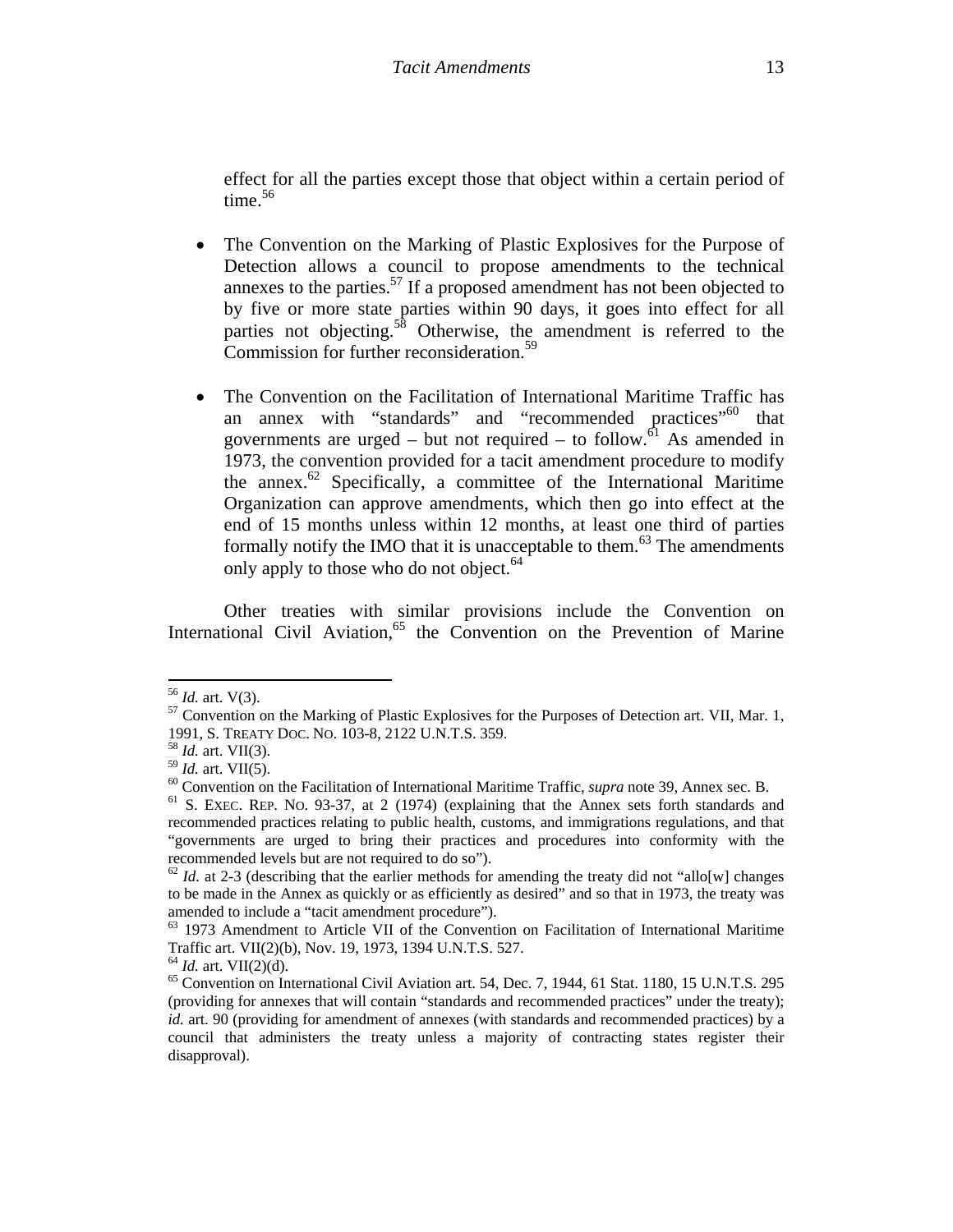effect for all the parties except those that object within a certain period of time. $56$ 

- The Convention on the Marking of Plastic Explosives for the Purpose of Detection allows a council to propose amendments to the technical annexes to the parties. $57$  If a proposed amendment has not been objected to by five or more state parties within 90 days, it goes into effect for all parties not objecting.<sup>58</sup> Otherwise, the amendment is referred to the Commission for further reconsideration.<sup>59</sup>
- The Convention on the Facilitation of International Maritime Traffic has an annex with "standards" and "recommended practices"<sup>60</sup> that governments are urged – but not required – to follow.<sup>61</sup> As amended in 1973, the convention provided for a tacit amendment procedure to modify the annex. $62$  Specifically, a committee of the International Maritime Organization can approve amendments, which then go into effect at the end of 15 months unless within 12 months, at least one third of parties formally notify the IMO that it is unacceptable to them. $63$  The amendments only apply to those who do not object.<sup>64</sup>

Other treaties with similar provisions include the Convention on International Civil Aviation,<sup>65</sup> the Convention on the Prevention of Marine

<sup>&</sup>lt;sup>56</sup> *Id.* art. V(3).<br><sup>57</sup> Convention on the Marking of Plastic Explosives for the Purposes of Detection art. VII, Mar. 1, 1991, S. TREATY DOC. NO. 103-8, 2122 U.N.T.S. 359. 58 *Id.* art. VII(3).

<sup>&</sup>lt;sup>60</sup> Convention on the Facilitation of International Maritime Traffic, *supra* note 39, Annex sec. B. <sup>61</sup> S. EXEC. REP. NO. 93-37, at 2 (1974) (explaining that the Annex sets forth standards and

recommended practices relating to public health, customs, and immigrations regulations, and that "governments are urged to bring their practices and procedures into conformity with the recommended levels but are not required to do so").

 $^{62}$  *Id.* at 2-3 (describing that the earlier methods for amending the treaty did not "allo[w] changes" to be made in the Annex as quickly or as efficiently as desired" and so that in 1973, the treaty was amended to include a "tacit amendment procedure").

 $^{63}$  1973 Amendment to Article VII of the Convention on Facilitation of International Maritime Traffic art. VII(2)(b), Nov. 19, 1973, 1394 U.N.T.S. 527.

<sup>&</sup>lt;sup>64</sup> *Id.* art. VII(2)(d).  $\overline{65}$  Convention on International Civil Aviation art. 54, Dec. 7, 1944, 61 Stat. 1180, 15 U.N.T.S. 295 (providing for annexes that will contain "standards and recommended practices" under the treaty); *id.* art. 90 (providing for amendment of annexes (with standards and recommended practices) by a council that administers the treaty unless a majority of contracting states register their disapproval).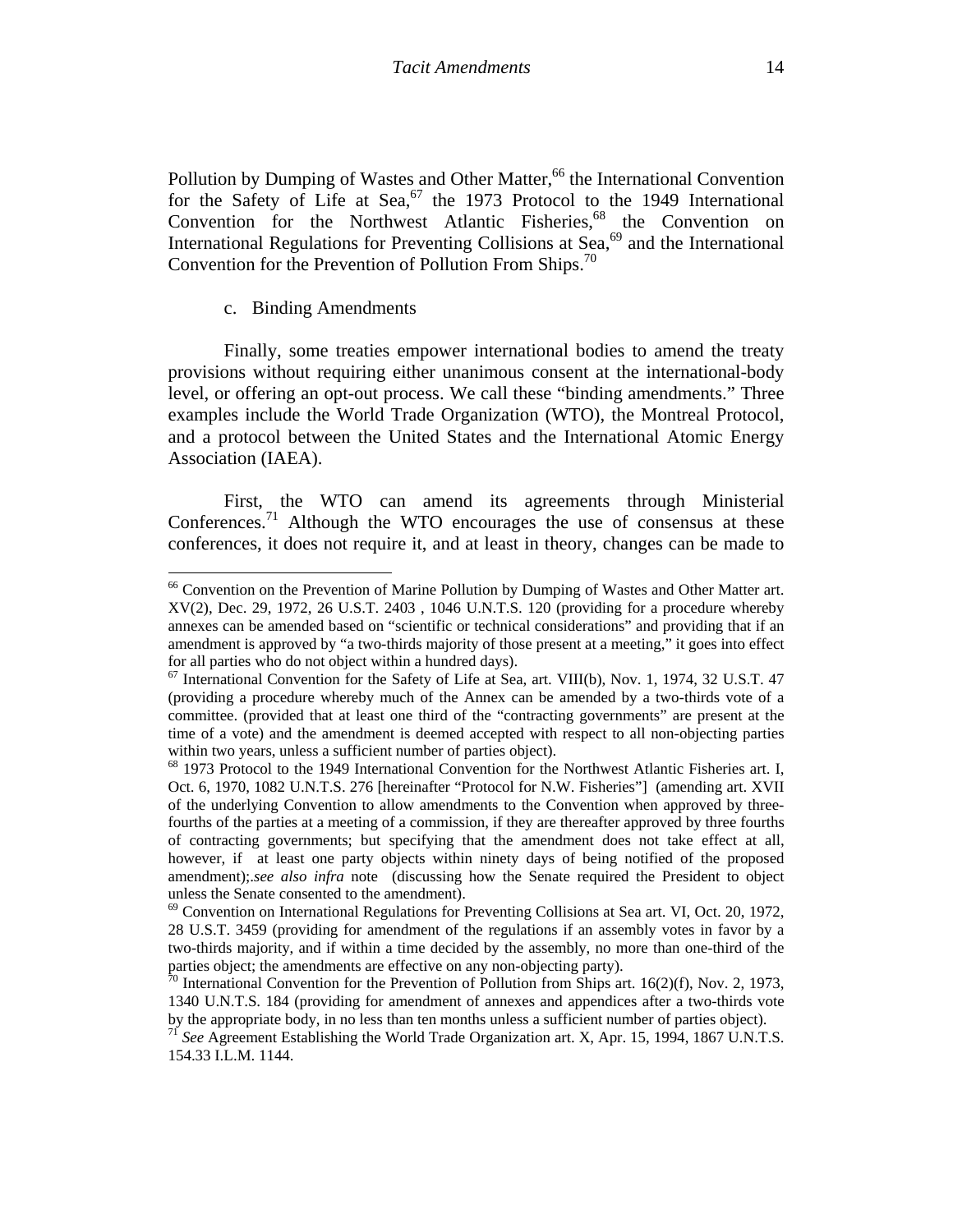Pollution by Dumping of Wastes and Other Matter,<sup>66</sup> the International Convention for the Safety of Life at Sea,<sup>67</sup> the 1973 Protocol to the 1949 International Convention for the Northwest Atlantic Fisheries,<sup>68</sup> the Convention on International Regulations for Preventing Collisions at Sea,<sup>69</sup> and the International Convention for the Prevention of Pollution From Ships.<sup>70</sup>

#### c. Binding Amendments

Finally, some treaties empower international bodies to amend the treaty provisions without requiring either unanimous consent at the international-body level, or offering an opt-out process. We call these "binding amendments." Three examples include the World Trade Organization (WTO), the Montreal Protocol, and a protocol between the United States and the International Atomic Energy Association (IAEA).

First, the WTO can amend its agreements through Ministerial Conferences.<sup>71</sup> Although the WTO encourages the use of consensus at these conferences, it does not require it, and at least in theory, changes can be made to

<sup>&</sup>lt;sup>66</sup> Convention on the Prevention of Marine Pollution by Dumping of Wastes and Other Matter art. XV(2), Dec. 29, 1972, 26 U.S.T. 2403 , 1046 U.N.T.S. 120 (providing for a procedure whereby annexes can be amended based on "scientific or technical considerations" and providing that if an amendment is approved by "a two-thirds majority of those present at a meeting," it goes into effect for all parties who do not object within a hundred days).

 $67$  International Convention for the Safety of Life at Sea, art. VIII(b), Nov. 1, 1974, 32 U.S.T. 47 (providing a procedure whereby much of the Annex can be amended by a two-thirds vote of a committee. (provided that at least one third of the "contracting governments" are present at the time of a vote) and the amendment is deemed accepted with respect to all non-objecting parties within two years, unless a sufficient number of parties object).<br><sup>68</sup> 1973 Protocol to the 1949 International Convention for the Northwest Atlantic Fisheries art. I,

Oct. 6, 1970, 1082 U.N.T.S. 276 [hereinafter "Protocol for N.W. Fisheries"] (amending art. XVII of the underlying Convention to allow amendments to the Convention when approved by threefourths of the parties at a meeting of a commission, if they are thereafter approved by three fourths of contracting governments; but specifying that the amendment does not take effect at all, however, if at least one party objects within ninety days of being notified of the proposed amendment);.*see also infra* note (discussing how the Senate required the President to object unless the Senate consented to the amendment).

 $69$  Convention on International Regulations for Preventing Collisions at Sea art. VI, Oct. 20, 1972, 28 U.S.T. 3459 (providing for amendment of the regulations if an assembly votes in favor by a two-thirds majority, and if within a time decided by the assembly, no more than one-third of the parties object; the amendments are effective on any non-objecting party).<br><sup>70</sup> International Convention for the Prevention of Pollution from Ships art. 16(2)(f), Nov. 2, 1973,

<sup>1340</sup> U.N.T.S. 184 (providing for amendment of annexes and appendices after a two-thirds vote by the appropriate body, in no less than ten months unless a sufficient number of parties object).

<sup>71</sup> *See* Agreement Establishing the World Trade Organization art. X, Apr. 15, 1994, 1867 U.N.T.S. 154.33 I.L.M. 1144.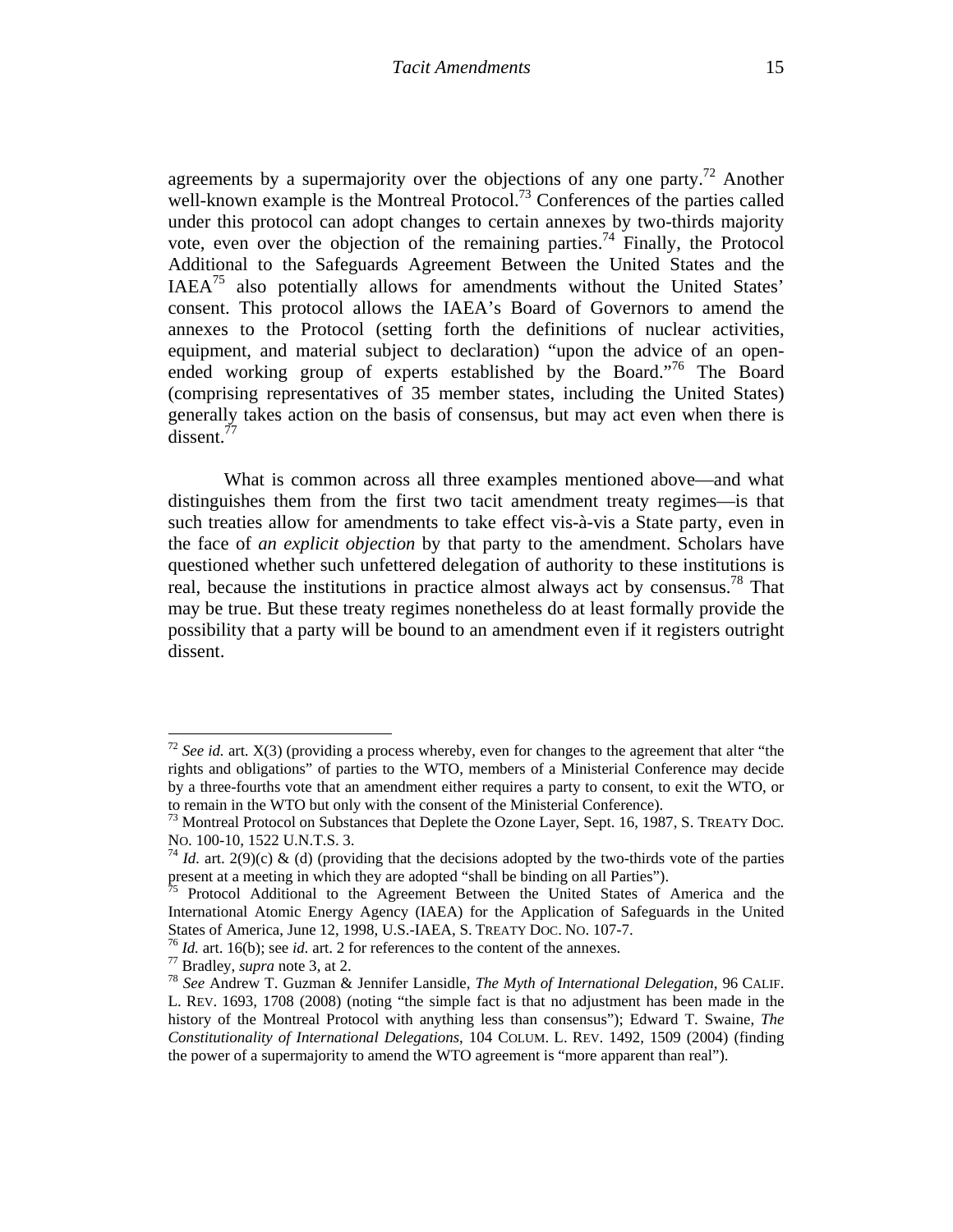agreements by a supermajority over the objections of any one party.<sup>72</sup> Another well-known example is the Montreal Protocol.<sup>73</sup> Conferences of the parties called under this protocol can adopt changes to certain annexes by two-thirds majority vote, even over the objection of the remaining parties.<sup>74</sup> Finally, the Protocol Additional to the Safeguards Agreement Between the United States and the IAEA75 also potentially allows for amendments without the United States' consent. This protocol allows the IAEA's Board of Governors to amend the annexes to the Protocol (setting forth the definitions of nuclear activities, equipment, and material subject to declaration) "upon the advice of an openended working group of experts established by the Board.<sup>76</sup> The Board (comprising representatives of 35 member states, including the United States) generally takes action on the basis of consensus, but may act even when there is dissent.<sup>77</sup>

What is common across all three examples mentioned above—and what distinguishes them from the first two tacit amendment treaty regimes—is that such treaties allow for amendments to take effect vis-à-vis a State party, even in the face of *an explicit objection* by that party to the amendment. Scholars have questioned whether such unfettered delegation of authority to these institutions is real, because the institutions in practice almost always act by consensus.<sup>78</sup> That may be true. But these treaty regimes nonetheless do at least formally provide the possibility that a party will be bound to an amendment even if it registers outright dissent.

<sup>&</sup>lt;sup>72</sup> *See id.* art.  $X(3)$  (providing a process whereby, even for changes to the agreement that alter "the rights and obligations" of parties to the WTO, members of a Ministerial Conference may decide by a three-fourths vote that an amendment either requires a party to consent, to exit the WTO, or

to remain in the WTO but only with the consent of the Ministerial Conference).<br><sup>73</sup> Montreal Protocol on Substances that Deplete the Ozone Layer, Sept. 16, 1987, S. TREATY DOC.<br>No. 100-10, 1522 U.N.T.S. 3.

<sup>&</sup>lt;sup>74</sup> *Id.* art. 2(9)(c) & (d) (providing that the decisions adopted by the two-thirds vote of the parties present at a meeting in which they are adopted "shall be binding on all Parties").

 $75$  Protocol Additional to the Agreement Between the United States of America and the International Atomic Energy Agency (IAEA) for the Application of Safeguards in the United States of America, June 12, 1998, U.S.-IAEA, S. TREATY DOC. NO. 107-7.<br><sup>76</sup> *Id.* art. 16(b); see *id.* art. 2 for references to the content of the annexes.<br><sup>77</sup> Bradley, *supra* note 3, at 2.<br><sup>78</sup> *See* Andrew T. Guzman

L. REV. 1693, 1708 (2008) (noting "the simple fact is that no adjustment has been made in the history of the Montreal Protocol with anything less than consensus"); Edward T. Swaine, *The Constitutionality of International Delegations*, 104 COLUM. L. REV. 1492, 1509 (2004) (finding the power of a supermajority to amend the WTO agreement is "more apparent than real").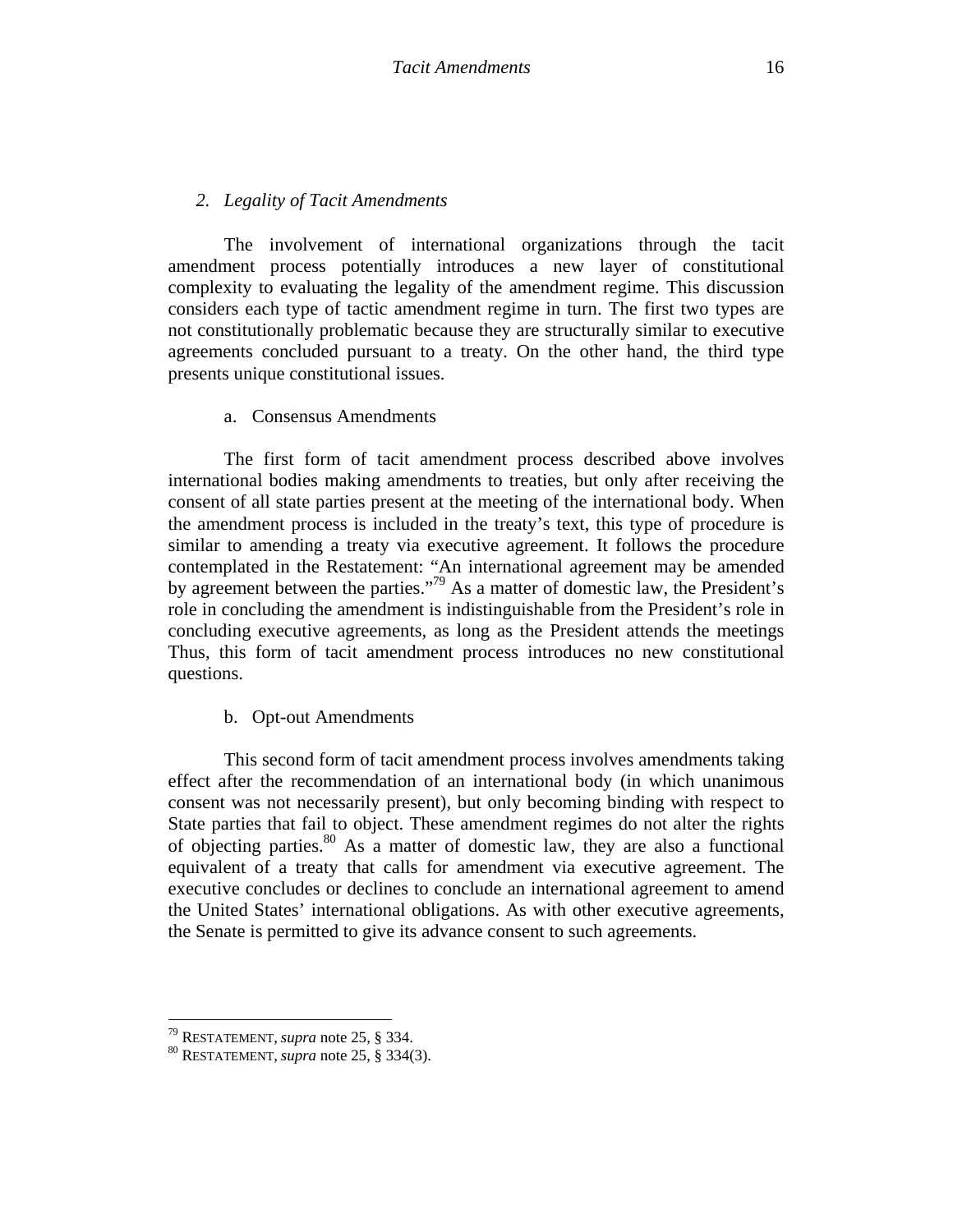The involvement of international organizations through the tacit amendment process potentially introduces a new layer of constitutional complexity to evaluating the legality of the amendment regime. This discussion considers each type of tactic amendment regime in turn. The first two types are not constitutionally problematic because they are structurally similar to executive agreements concluded pursuant to a treaty. On the other hand, the third type presents unique constitutional issues.

a. Consensus Amendments

The first form of tacit amendment process described above involves international bodies making amendments to treaties, but only after receiving the consent of all state parties present at the meeting of the international body. When the amendment process is included in the treaty's text, this type of procedure is similar to amending a treaty via executive agreement. It follows the procedure contemplated in the Restatement: "An international agreement may be amended by agreement between the parties."79 As a matter of domestic law, the President's role in concluding the amendment is indistinguishable from the President's role in concluding executive agreements, as long as the President attends the meetings Thus, this form of tacit amendment process introduces no new constitutional questions.

### b. Opt-out Amendments

This second form of tacit amendment process involves amendments taking effect after the recommendation of an international body (in which unanimous consent was not necessarily present), but only becoming binding with respect to State parties that fail to object. These amendment regimes do not alter the rights of objecting parties.80 As a matter of domestic law, they are also a functional equivalent of a treaty that calls for amendment via executive agreement. The executive concludes or declines to conclude an international agreement to amend the United States' international obligations. As with other executive agreements, the Senate is permitted to give its advance consent to such agreements.

 <sup>79</sup> RESTATEMENT, *supra* note 25, § 334.<br><sup>80</sup> RESTATEMENT, *supra* note 25, § 334(3).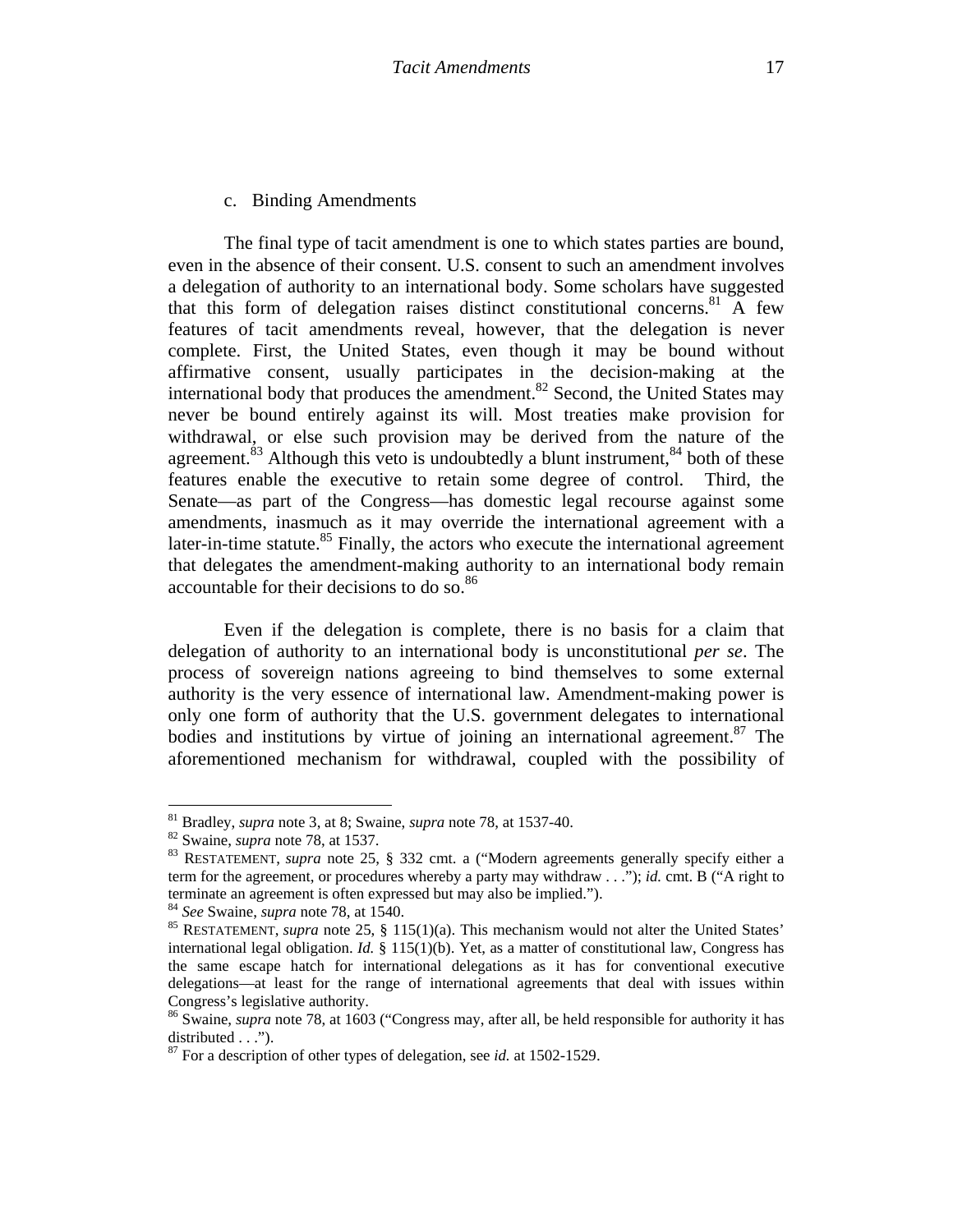### c. Binding Amendments

The final type of tacit amendment is one to which states parties are bound, even in the absence of their consent. U.S. consent to such an amendment involves a delegation of authority to an international body. Some scholars have suggested that this form of delegation raises distinct constitutional concerns.<sup>81</sup> A few features of tacit amendments reveal, however, that the delegation is never complete. First, the United States, even though it may be bound without affirmative consent, usually participates in the decision-making at the international body that produces the amendment.<sup>82</sup> Second, the United States may never be bound entirely against its will. Most treaties make provision for withdrawal, or else such provision may be derived from the nature of the agreement.<sup>83</sup> Although this veto is undoubtedly a blunt instrument,  $84$  both of these features enable the executive to retain some degree of control. Third, the Senate—as part of the Congress—has domestic legal recourse against some amendments, inasmuch as it may override the international agreement with a later-in-time statute. $85$  Finally, the actors who execute the international agreement that delegates the amendment-making authority to an international body remain accountable for their decisions to do so.<sup>86</sup>

Even if the delegation is complete, there is no basis for a claim that delegation of authority to an international body is unconstitutional *per se*. The process of sovereign nations agreeing to bind themselves to some external authority is the very essence of international law. Amendment-making power is only one form of authority that the U.S. government delegates to international bodies and institutions by virtue of joining an international agreement.<sup>87</sup> The aforementioned mechanism for withdrawal, coupled with the possibility of

<sup>&</sup>lt;sup>81</sup> Bradley, *supra* note 3, at 8; Swaine, *supra* note 78, at 1537-40.

<sup>&</sup>lt;sup>82</sup> Swaine, *supra* note 78, at 1537.<br><sup>83</sup> RESTATEMENT, *supra* note 25, § 332 cmt. a ("Modern agreements generally specify either a term for the agreement, or procedures whereby a party may withdraw . . ."); *id.* cmt. B ("A right to terminate an agreement is often expressed but may also be implied.").<br><sup>84</sup> *See* Swaine, *supra* note 78, at 1540.<br><sup>85</sup> RESTATEMENT, *supra* note 25, § 115(1)(a). This mechanism would not alter the United States'

international legal obligation. *Id.* § 115(1)(b). Yet, as a matter of constitutional law, Congress has the same escape hatch for international delegations as it has for conventional executive delegations—at least for the range of international agreements that deal with issues within Congress's legislative authority.

<sup>86</sup> Swaine, *supra* note 78, at 1603 ("Congress may, after all, be held responsible for authority it has distributed . . .").

<sup>87</sup> For a description of other types of delegation, see *id.* at 1502-1529.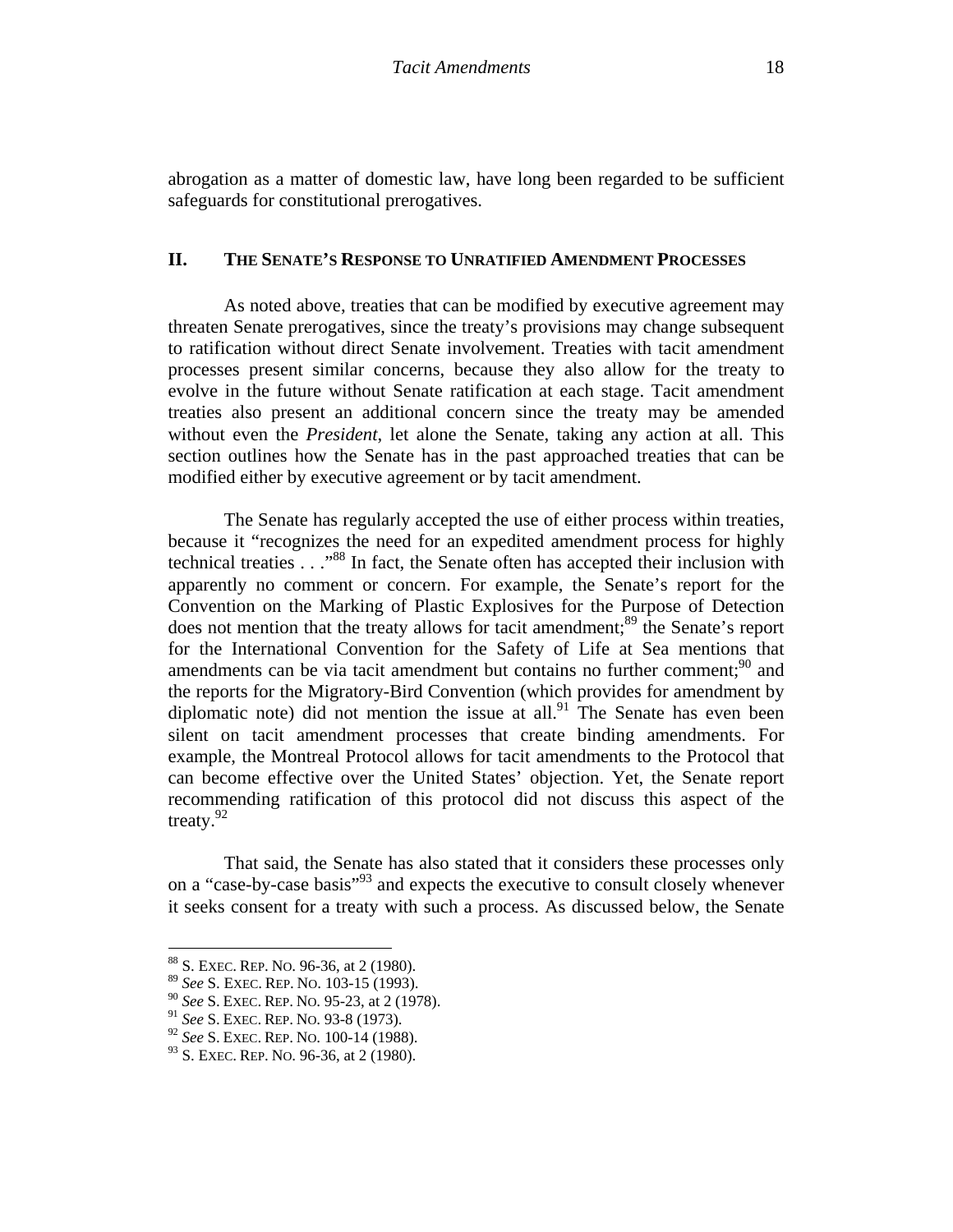abrogation as a matter of domestic law, have long been regarded to be sufficient safeguards for constitutional prerogatives.

### **II. THE SENATE'S RESPONSE TO UNRATIFIED AMENDMENT PROCESSES**

As noted above, treaties that can be modified by executive agreement may threaten Senate prerogatives, since the treaty's provisions may change subsequent to ratification without direct Senate involvement. Treaties with tacit amendment processes present similar concerns, because they also allow for the treaty to evolve in the future without Senate ratification at each stage. Tacit amendment treaties also present an additional concern since the treaty may be amended without even the *President*, let alone the Senate, taking any action at all. This section outlines how the Senate has in the past approached treaties that can be modified either by executive agreement or by tacit amendment.

The Senate has regularly accepted the use of either process within treaties, because it "recognizes the need for an expedited amendment process for highly technical treaties . . ."88 In fact, the Senate often has accepted their inclusion with apparently no comment or concern. For example, the Senate's report for the Convention on the Marking of Plastic Explosives for the Purpose of Detection does not mention that the treaty allows for tacit amendment;<sup>89</sup> the Senate's report for the International Convention for the Safety of Life at Sea mentions that amendments can be via tacit amendment but contains no further comment;<sup>90</sup> and the reports for the Migratory-Bird Convention (which provides for amendment by diplomatic note) did not mention the issue at all. $91$  The Senate has even been silent on tacit amendment processes that create binding amendments. For example, the Montreal Protocol allows for tacit amendments to the Protocol that can become effective over the United States' objection. Yet, the Senate report recommending ratification of this protocol did not discuss this aspect of the treaty.92

That said, the Senate has also stated that it considers these processes only on a "case-by-case basis"93 and expects the executive to consult closely whenever it seeks consent for a treaty with such a process. As discussed below, the Senate

 88 S. EXEC. REP. NO. 96-36, at 2 (1980).

<sup>89</sup> *See* S. EXEC. REP. NO. 103-15 (1993).

<sup>90</sup> *See* S. EXEC. REP. NO. 95-23, at 2 (1978).

<sup>91</sup> *See* S. EXEC. REP. NO. 93-8 (1973).

<sup>92</sup> *See* S. EXEC. REP. NO. 100-14 (1988).

<sup>&</sup>lt;sup>93</sup> S. EXEC. REP. NO. 96-36, at 2 (1980).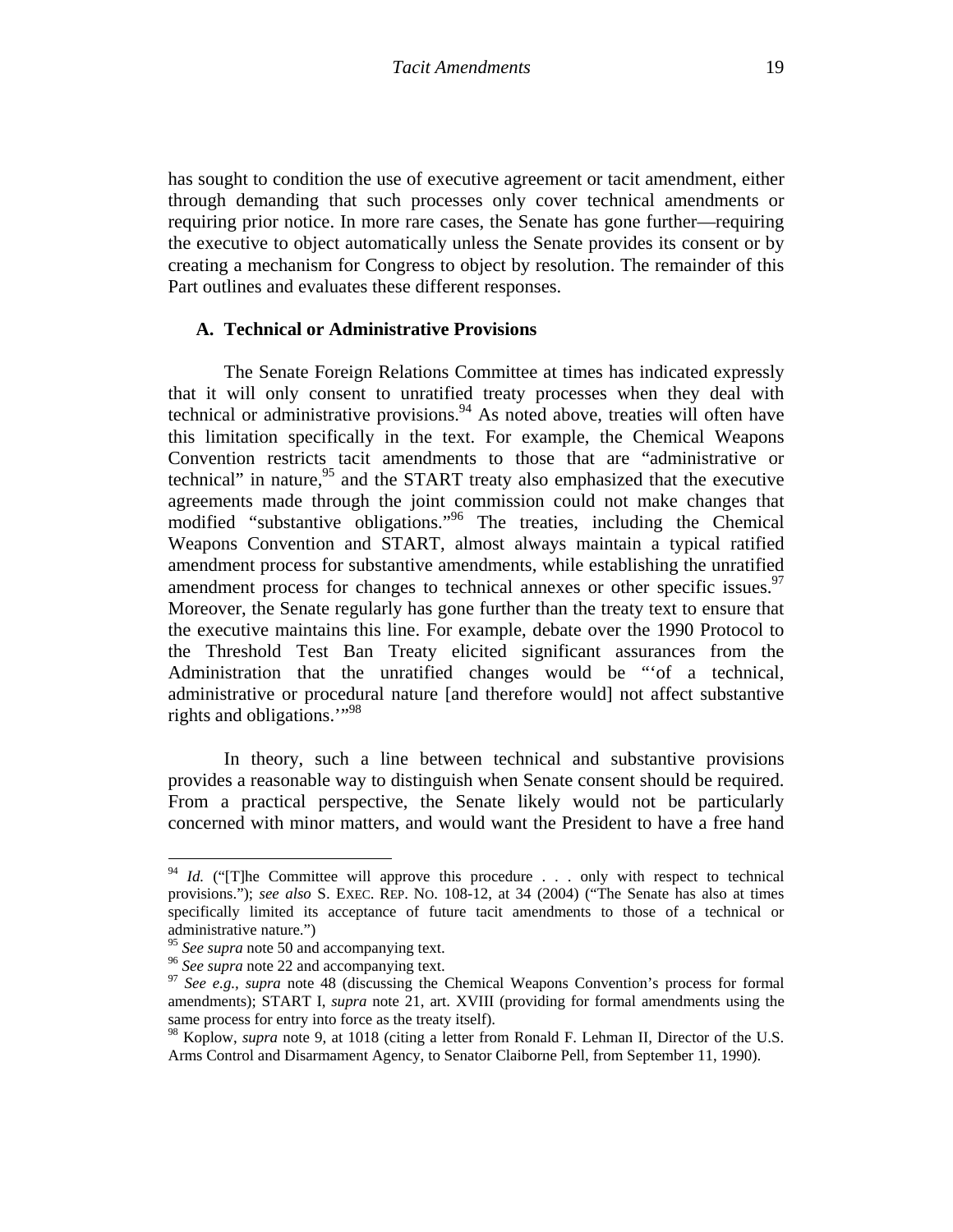has sought to condition the use of executive agreement or tacit amendment, either through demanding that such processes only cover technical amendments or requiring prior notice. In more rare cases, the Senate has gone further—requiring the executive to object automatically unless the Senate provides its consent or by creating a mechanism for Congress to object by resolution. The remainder of this Part outlines and evaluates these different responses.

#### **A. Technical or Administrative Provisions**

The Senate Foreign Relations Committee at times has indicated expressly that it will only consent to unratified treaty processes when they deal with technical or administrative provisions. $94$  As noted above, treaties will often have this limitation specifically in the text. For example, the Chemical Weapons Convention restricts tacit amendments to those that are "administrative or technical" in nature,  $95$  and the START treaty also emphasized that the executive agreements made through the joint commission could not make changes that modified "substantive obligations."96 The treaties, including the Chemical Weapons Convention and START, almost always maintain a typical ratified amendment process for substantive amendments, while establishing the unratified amendment process for changes to technical annexes or other specific issues.<sup>97</sup> Moreover, the Senate regularly has gone further than the treaty text to ensure that the executive maintains this line. For example, debate over the 1990 Protocol to the Threshold Test Ban Treaty elicited significant assurances from the Administration that the unratified changes would be "'of a technical, administrative or procedural nature [and therefore would] not affect substantive rights and obligations."<sup>98</sup>

In theory, such a line between technical and substantive provisions provides a reasonable way to distinguish when Senate consent should be required. From a practical perspective, the Senate likely would not be particularly concerned with minor matters, and would want the President to have a free hand

<sup>&</sup>lt;sup>94</sup> *Id.* ("[T]he Committee will approve this procedure . . . only with respect to technical provisions."); *see also* S. EXEC. REP. NO. 108-12, at 34 (2004) ("The Senate has also at times specifically limited its acceptance of future tacit amendments to those of a technical or administrative nature.")<br> $\frac{95}{2}$  See supra note 50 and accompanying text.

<sup>&</sup>lt;sup>96</sup> *See supra* note 22 and accompanying text.<br><sup>97</sup> *See e.g., supra* note 48 (discussing the Chemical Weapons Convention's process for formal amendments); START I, *supra* note 21, art. XVIII (providing for formal amendments using the same process for entry into force as the treaty itself).

<sup>98</sup> Koplow, *supra* note 9, at 1018 (citing a letter from Ronald F. Lehman II, Director of the U.S. Arms Control and Disarmament Agency, to Senator Claiborne Pell, from September 11, 1990).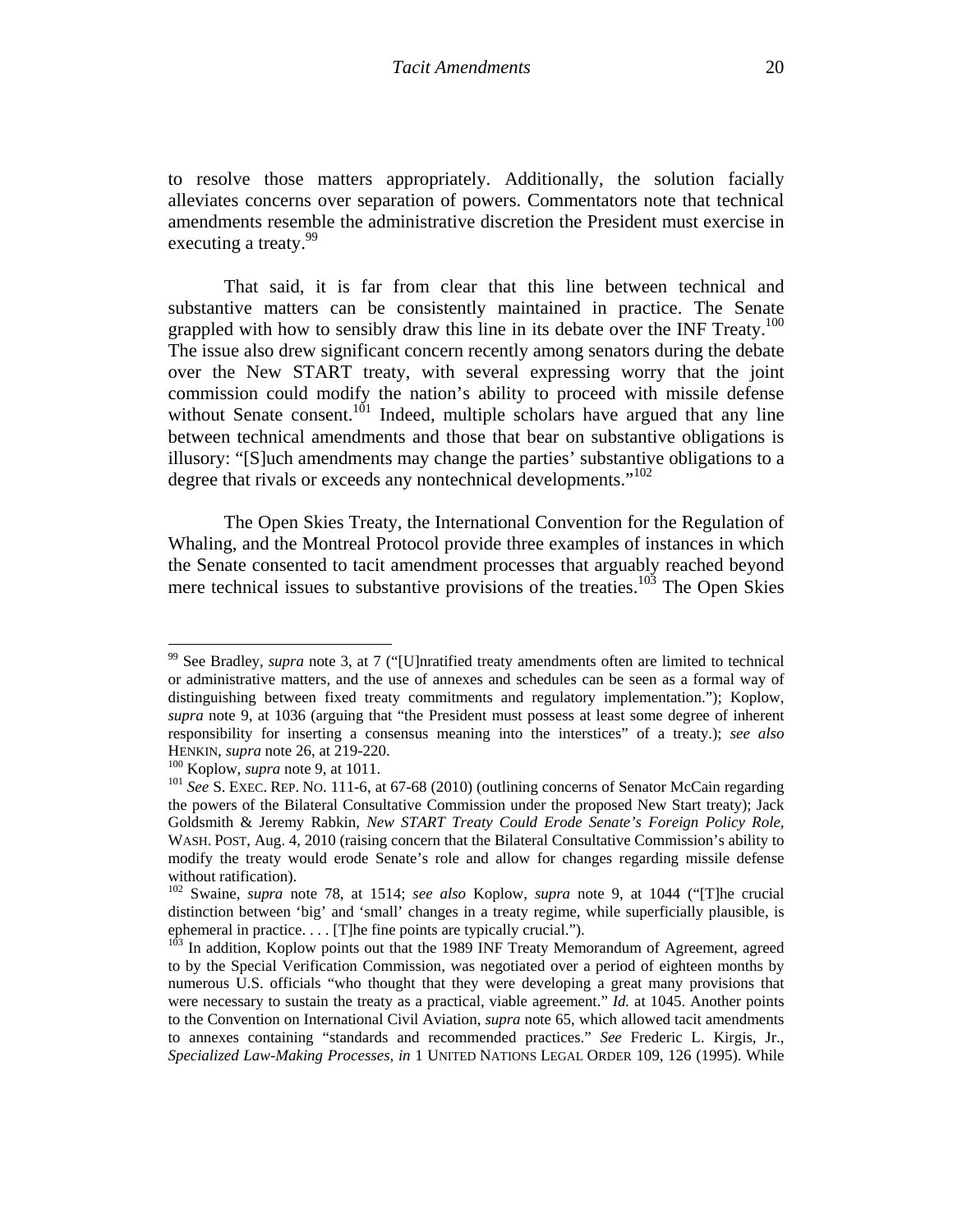to resolve those matters appropriately. Additionally, the solution facially alleviates concerns over separation of powers. Commentators note that technical amendments resemble the administrative discretion the President must exercise in executing a treaty.<sup>99</sup>

That said, it is far from clear that this line between technical and substantive matters can be consistently maintained in practice. The Senate grappled with how to sensibly draw this line in its debate over the INF Treaty.<sup>100</sup> The issue also drew significant concern recently among senators during the debate over the New START treaty, with several expressing worry that the joint commission could modify the nation's ability to proceed with missile defense without Senate consent.<sup>101</sup> Indeed, multiple scholars have argued that any line between technical amendments and those that bear on substantive obligations is illusory: "[S]uch amendments may change the parties' substantive obligations to a degree that rivals or exceeds any nontechnical developments."<sup>102</sup>

The Open Skies Treaty, the International Convention for the Regulation of Whaling, and the Montreal Protocol provide three examples of instances in which the Senate consented to tacit amendment processes that arguably reached beyond mere technical issues to substantive provisions of the treaties.<sup>103</sup> The Open Skies

<sup>99</sup> See Bradley, *supra* note 3, at 7 ("[U]nratified treaty amendments often are limited to technical or administrative matters, and the use of annexes and schedules can be seen as a formal way of distinguishing between fixed treaty commitments and regulatory implementation."); Koplow, *supra* note 9, at 1036 (arguing that "the President must possess at least some degree of inherent responsibility for inserting a consensus meaning into the interstices" of a treaty.); *see also*  HENKIN, *supra* note 26, at 219-220.<br><sup>100</sup> Koplow, *supra* note 9, at 1011.<br><sup>101</sup> *See* S. EXEC. REP. NO. 111-6, at 67-68 (2010) (outlining concerns of Senator McCain regarding

the powers of the Bilateral Consultative Commission under the proposed New Start treaty); Jack Goldsmith & Jeremy Rabkin, *New START Treaty Could Erode Senate's Foreign Policy Role,*  WASH. POST, Aug. 4, 2010 (raising concern that the Bilateral Consultative Commission's ability to modify the treaty would erode Senate's role and allow for changes regarding missile defense without ratification).

<sup>102</sup> Swaine, *supra* note 78, at 1514; *see also* Koplow, *supra* note 9, at 1044 ("[T]he crucial distinction between 'big' and 'small' changes in a treaty regime, while superficially plausible, is ephemeral in practice. . . . [T]he fine points are typically crucial.").<br><sup>103</sup> In addition, Koplow points out that the 1989 INF Treaty Memorandum of Agreement, agreed

to by the Special Verification Commission, was negotiated over a period of eighteen months by numerous U.S. officials "who thought that they were developing a great many provisions that were necessary to sustain the treaty as a practical, viable agreement." *Id.* at 1045. Another points to the Convention on International Civil Aviation, *supra* note 65, which allowed tacit amendments to annexes containing "standards and recommended practices." *See* Frederic L. Kirgis, Jr., *Specialized Law-Making Processes*, *in* 1 UNITED NATIONS LEGAL ORDER 109, 126 (1995). While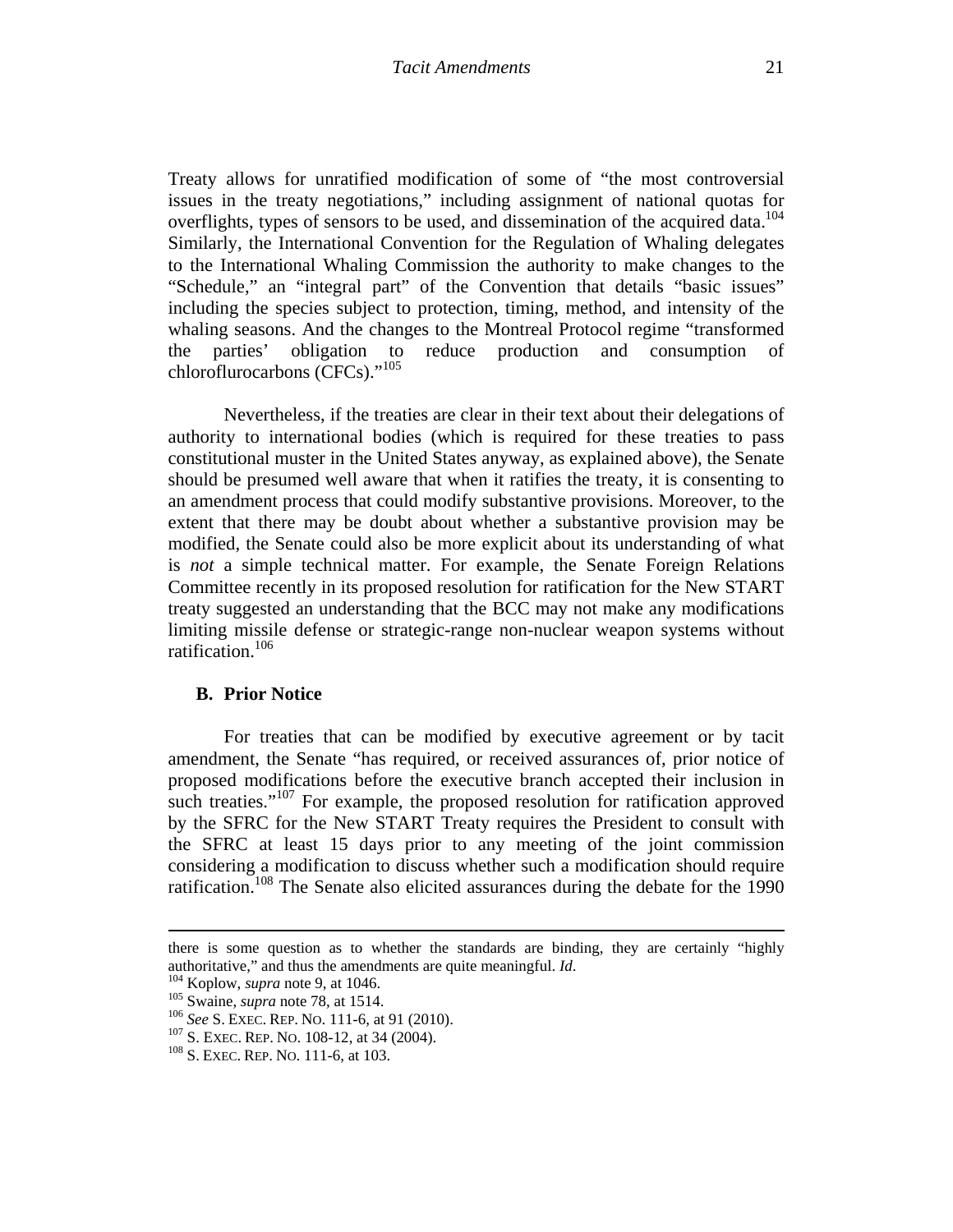Treaty allows for unratified modification of some of "the most controversial issues in the treaty negotiations," including assignment of national quotas for overflights, types of sensors to be used, and dissemination of the acquired data.<sup>104</sup> Similarly, the International Convention for the Regulation of Whaling delegates to the International Whaling Commission the authority to make changes to the "Schedule," an "integral part" of the Convention that details "basic issues" including the species subject to protection, timing, method, and intensity of the whaling seasons. And the changes to the Montreal Protocol regime "transformed the parties' obligation to reduce production and consumption of chloroflurocarbons (CFCs)."<sup>105</sup>

Nevertheless, if the treaties are clear in their text about their delegations of authority to international bodies (which is required for these treaties to pass constitutional muster in the United States anyway, as explained above), the Senate should be presumed well aware that when it ratifies the treaty, it is consenting to an amendment process that could modify substantive provisions. Moreover, to the extent that there may be doubt about whether a substantive provision may be modified, the Senate could also be more explicit about its understanding of what is *not* a simple technical matter. For example, the Senate Foreign Relations Committee recently in its proposed resolution for ratification for the New START treaty suggested an understanding that the BCC may not make any modifications limiting missile defense or strategic-range non-nuclear weapon systems without ratification.<sup>106</sup>

#### **B. Prior Notice**

For treaties that can be modified by executive agreement or by tacit amendment, the Senate "has required, or received assurances of, prior notice of proposed modifications before the executive branch accepted their inclusion in such treaties."<sup>107</sup> For example, the proposed resolution for ratification approved by the SFRC for the New START Treaty requires the President to consult with the SFRC at least 15 days prior to any meeting of the joint commission considering a modification to discuss whether such a modification should require ratification.<sup>108</sup> The Senate also elicited assurances during the debate for the 1990

<sup>&</sup>lt;u> 1989 - Johann Stoff, amerikansk politiker (d. 1989)</u> there is some question as to whether the standards are binding, they are certainly "highly authoritative," and thus the amendments are quite meaningful. *Id.*<br><sup>104</sup> Koplow, *supra* note 9, at 1046.<br><sup>105</sup> Swaine, *supra* note 78, at 1514.<br><sup>106</sup> See S. EXEC. REP. NO. 111-6, at 91 (2010).<br><sup>107</sup> S. EXEC. REP. NO. 1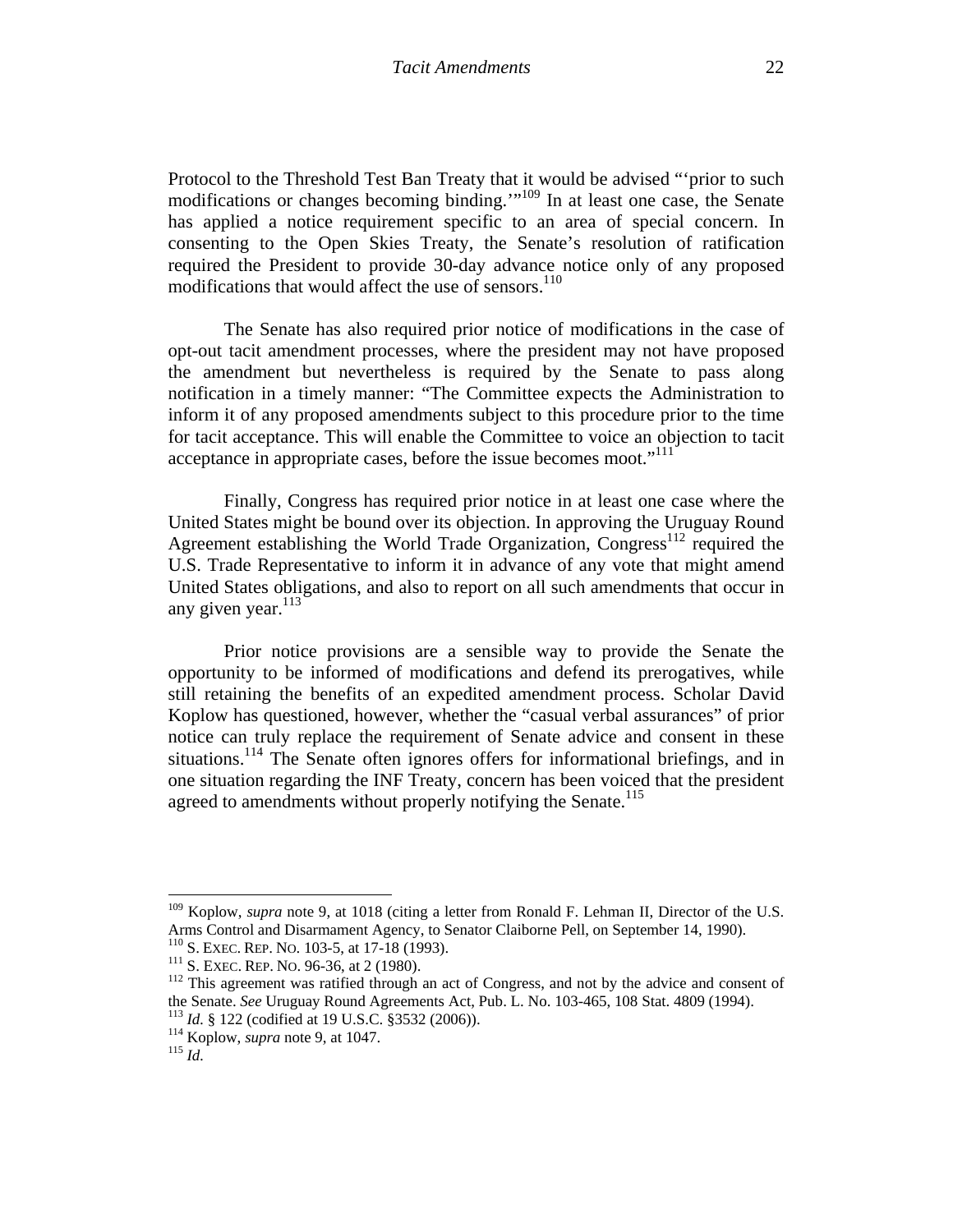Protocol to the Threshold Test Ban Treaty that it would be advised "'prior to such modifications or changes becoming binding.'"109 In at least one case, the Senate has applied a notice requirement specific to an area of special concern. In consenting to the Open Skies Treaty, the Senate's resolution of ratification required the President to provide 30-day advance notice only of any proposed modifications that would affect the use of sensors. $110$ 

The Senate has also required prior notice of modifications in the case of opt-out tacit amendment processes, where the president may not have proposed the amendment but nevertheless is required by the Senate to pass along notification in a timely manner: "The Committee expects the Administration to inform it of any proposed amendments subject to this procedure prior to the time for tacit acceptance. This will enable the Committee to voice an objection to tacit acceptance in appropriate cases, before the issue becomes moot."<sup>111</sup>

Finally, Congress has required prior notice in at least one case where the United States might be bound over its objection. In approving the Uruguay Round Agreement establishing the World Trade Organization,  $\text{Congress}^{112}$  required the U.S. Trade Representative to inform it in advance of any vote that might amend United States obligations, and also to report on all such amendments that occur in any given year. $113$ 

Prior notice provisions are a sensible way to provide the Senate the opportunity to be informed of modifications and defend its prerogatives, while still retaining the benefits of an expedited amendment process. Scholar David Koplow has questioned, however, whether the "casual verbal assurances" of prior notice can truly replace the requirement of Senate advice and consent in these situations.<sup>114</sup> The Senate often ignores offers for informational briefings, and in one situation regarding the INF Treaty, concern has been voiced that the president agreed to amendments without properly notifying the Senate.<sup>115</sup>

<sup>&</sup>lt;sup>109</sup> Koplow, *supra* note 9, at 1018 (citing a letter from Ronald F. Lehman II, Director of the U.S. Arms Control and Disarmament Agency, to Senator Claiborne Pell, on September 14, 1990).<br><sup>110</sup> S. EXEC. REP. No. 103-5, at 17-18 (1993).

<sup>111</sup> S. EXEC. REP. NO. 96-36, at 2 (1980).  $\frac{111}{111}$  S. EXEC. REP. NO. 96-36, at 2 (1980).  $\frac{112}{112}$  This agreement was ratified through an act of Congress, and not by the advice and consent of the Senate. *See* Uruguay Round Agreements Act, Pub. L. No. 103-465, 108 Stat. 4809 (1994).<br><sup>113</sup> *Id.* § 122 (codified at 19 U.S.C. §3532 (2006)).<br><sup>114</sup> Koplow, *supra* note 9, at 1047.<br><sup>115</sup> *Id.*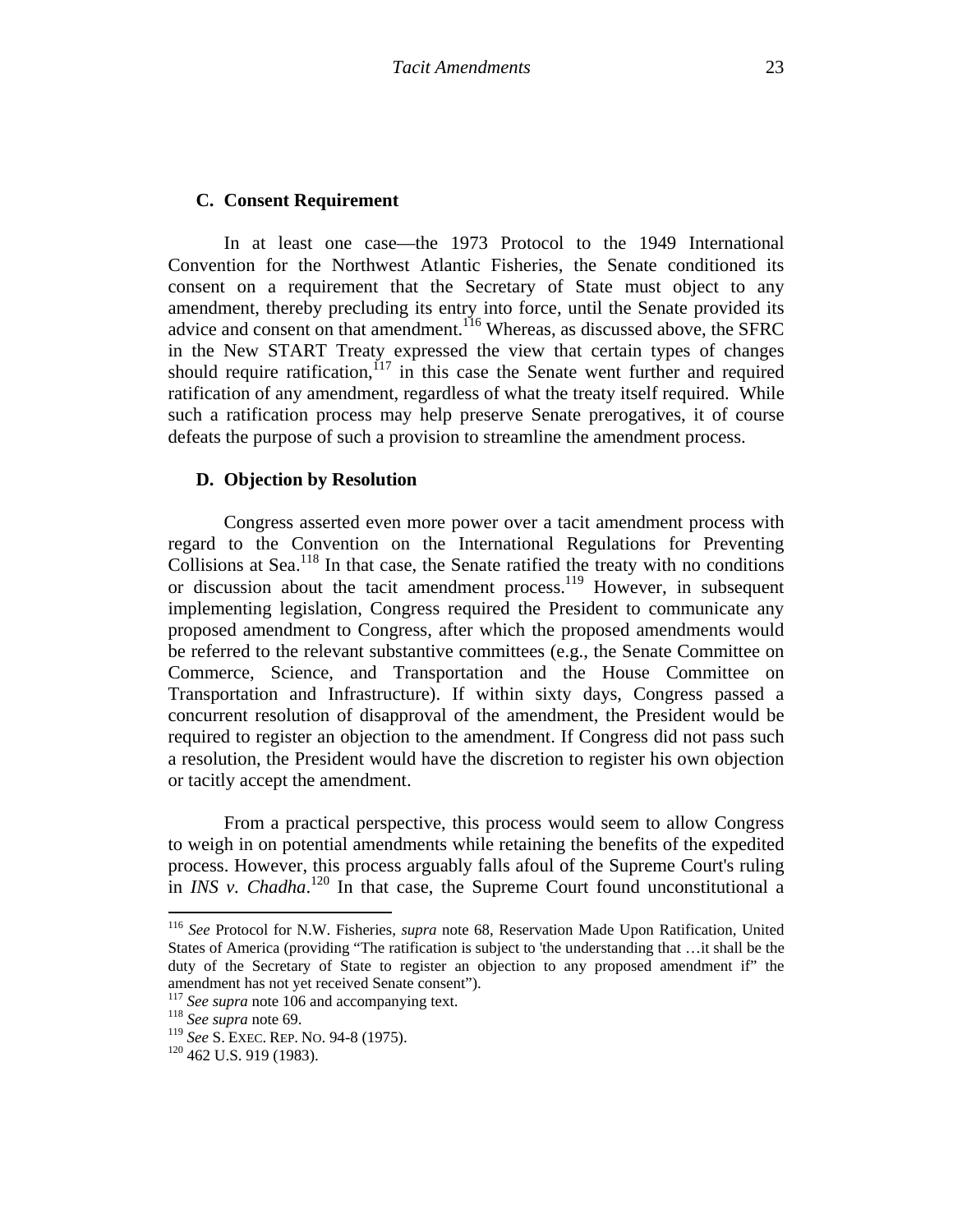### **C. Consent Requirement**

In at least one case—the 1973 Protocol to the 1949 International Convention for the Northwest Atlantic Fisheries, the Senate conditioned its consent on a requirement that the Secretary of State must object to any amendment, thereby precluding its entry into force, until the Senate provided its advice and consent on that amendment.116 Whereas, as discussed above, the SFRC in the New START Treaty expressed the view that certain types of changes should require ratification,  $117$  in this case the Senate went further and required ratification of any amendment, regardless of what the treaty itself required. While such a ratification process may help preserve Senate prerogatives, it of course defeats the purpose of such a provision to streamline the amendment process.

### **D. Objection by Resolution**

Congress asserted even more power over a tacit amendment process with regard to the Convention on the International Regulations for Preventing Collisions at Sea. $^{118}$  In that case, the Senate ratified the treaty with no conditions or discussion about the tacit amendment process.<sup>119</sup> However, in subsequent implementing legislation, Congress required the President to communicate any proposed amendment to Congress, after which the proposed amendments would be referred to the relevant substantive committees (e.g., the Senate Committee on Commerce, Science, and Transportation and the House Committee on Transportation and Infrastructure). If within sixty days, Congress passed a concurrent resolution of disapproval of the amendment, the President would be required to register an objection to the amendment. If Congress did not pass such a resolution, the President would have the discretion to register his own objection or tacitly accept the amendment.

From a practical perspective, this process would seem to allow Congress to weigh in on potential amendments while retaining the benefits of the expedited process. However, this process arguably falls afoul of the Supreme Court's ruling in *INS v. Chadha*.<sup>120</sup> In that case, the Supreme Court found unconstitutional a

<sup>116</sup> *See* Protocol for N.W. Fisheries, *supra* note 68, Reservation Made Upon Ratification, United States of America (providing "The ratification is subject to 'the understanding that …it shall be the duty of the Secretary of State to register an objection to any proposed amendment if" the amendment has not yet received Senate consent").

<sup>117</sup> *See supra* note 106 and accompanying text. 118 *See supra* note 69.

<sup>119</sup> *See* S. EXEC. REP. NO. 94-8 (1975). 120 462 U.S. 919 (1983).